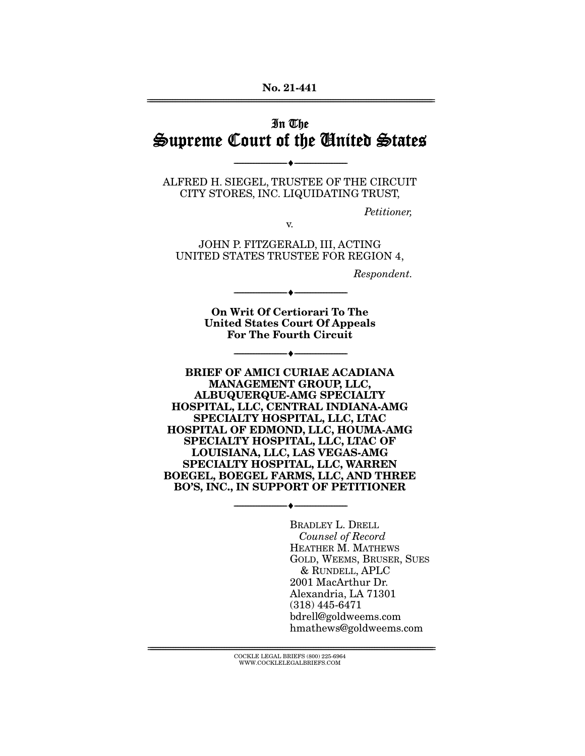#### **No. 21-441**  ================================================================================================================

# In The Supreme Court of the United States

ALFRED H. SIEGEL, TRUSTEE OF THE CIRCUIT CITY STORES, INC. LIQUIDATING TRUST,

--------------------------------- ♦ ---------------------------------

Petitioner,

JOHN P. FITZGERALD, III, ACTING UNITED STATES TRUSTEE FOR REGION 4,

v.

Respondent.

**On Writ Of Certiorari To The United States Court Of Appeals For The Fourth Circuit** 

 $\bullet$  -

--------------------------------- ♦ ---------------------------------

**BRIEF OF AMICI CURIAE ACADIANA MANAGEMENT GROUP, LLC, ALBUQUERQUE-AMG SPECIALTY HOSPITAL, LLC, CENTRAL INDIANA-AMG SPECIALTY HOSPITAL, LLC, LTAC HOSPITAL OF EDMOND, LLC, HOUMA-AMG SPECIALTY HOSPITAL, LLC, LTAC OF LOUISIANA, LLC, LAS VEGAS-AMG SPECIALTY HOSPITAL, LLC, WARREN BOEGEL, BOEGEL FARMS, LLC, AND THREE BO'S, INC., IN SUPPORT OF PETITIONER** 

--------------------------------- ♦ ---------------------------------

BRADLEY L. DRELL Counsel of Record HEATHER M. MATHEWS GOLD, WEEMS, BRUSER, SUES & RUNDELL, APLC 2001 MacArthur Dr. Alexandria, LA 71301 (318) 445-6471 bdrell@goldweems.com hmathews@goldweems.com

 ${ \rm COCKLE}$  LEGAL BRIEFS (800) 225-6964 WWW.COCKLELEGALBRIEFS.COM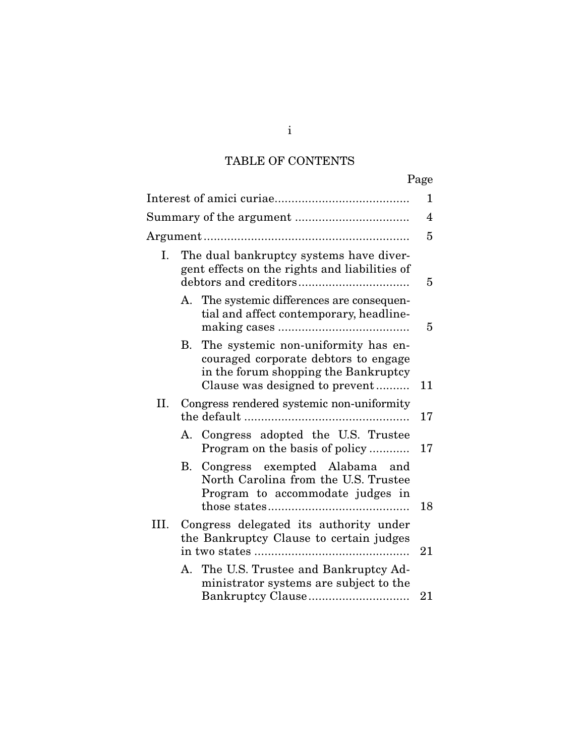# TABLE OF CONTENTS

|      |    |                                                                                                                                                       | Page           |
|------|----|-------------------------------------------------------------------------------------------------------------------------------------------------------|----------------|
|      |    |                                                                                                                                                       | 1              |
|      |    |                                                                                                                                                       | $\overline{4}$ |
|      |    |                                                                                                                                                       | 5              |
| I.   |    | The dual bankruptcy systems have diver-<br>gent effects on the rights and liabilities of                                                              | 5              |
|      |    | A. The systemic differences are consequen-<br>tial and affect contemporary, headline-                                                                 | 5              |
|      | B. | The systemic non-uniformity has en-<br>couraged corporate debtors to engage<br>in the forum shopping the Bankruptcy<br>Clause was designed to prevent | 11             |
| П.   |    | Congress rendered systemic non-uniformity                                                                                                             | 17             |
|      |    | A. Congress adopted the U.S. Trustee<br>Program on the basis of policy                                                                                | 17             |
|      | B. | Congress exempted Alabama<br>and<br>North Carolina from the U.S. Trustee<br>Program to accommodate judges in                                          | 18             |
| III. |    | Congress delegated its authority under<br>the Bankruptcy Clause to certain judges                                                                     | 21             |
|      |    | A. The U.S. Trustee and Bankruptcy Ad-<br>ministrator systems are subject to the<br>Bankruptcy Clause                                                 | 21             |

i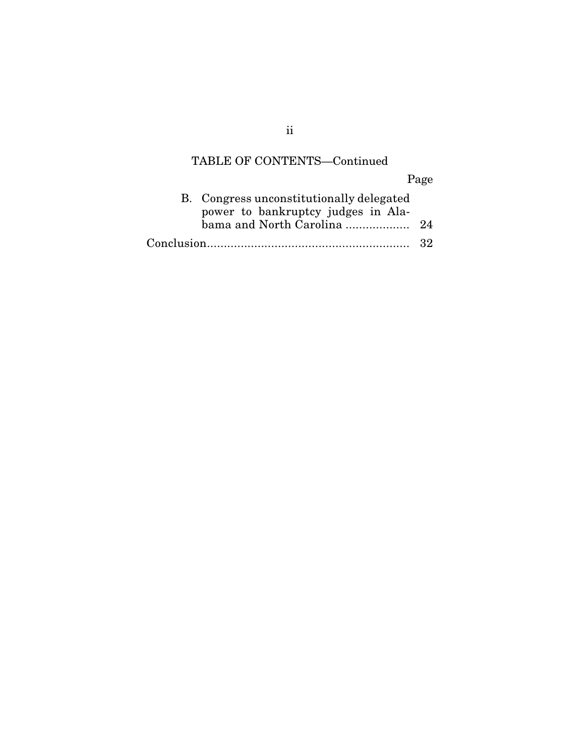# TABLE OF CONTENTS—Continued

Page

| B. Congress unconstitutionally delegated |  |
|------------------------------------------|--|
| power to bankruptcy judges in Ala-       |  |
|                                          |  |
|                                          |  |

ii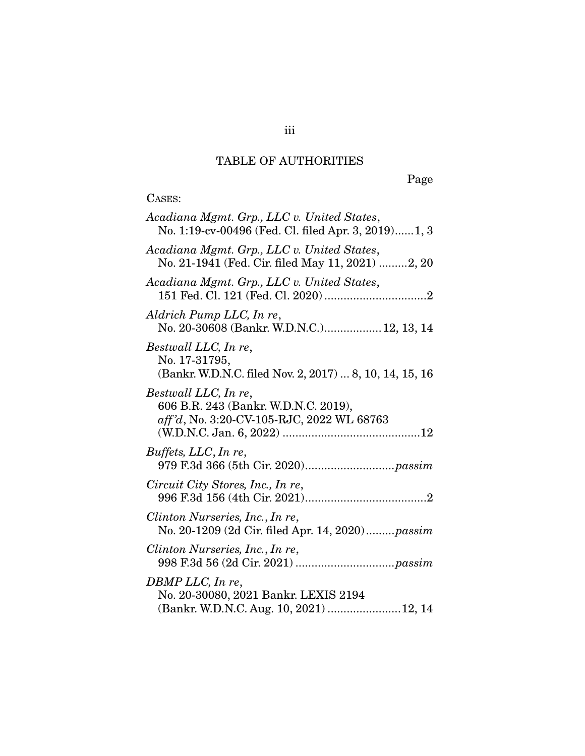# TABLE OF AUTHORITIES

Page

# CASES:

| Acadiana Mgmt. Grp., LLC v. United States,<br>No. 1:19-cv-00496 (Fed. Cl. filed Apr. 3, 2019)1, 3         |
|-----------------------------------------------------------------------------------------------------------|
| Acadiana Mgmt. Grp., LLC v. United States,<br>No. 21-1941 (Fed. Cir. filed May 11, 2021) 2, 20            |
| Acadiana Mgmt. Grp., LLC v. United States,                                                                |
| Aldrich Pump LLC, In re,<br>No. 20-30608 (Bankr. W.D.N.C.) 12, 13, 14                                     |
| Bestwall LLC, In re,<br>No. 17-31795,<br>(Bankr. W.D.N.C. filed Nov. 2, 2017)  8, 10, 14, 15, 16          |
| Bestwall LLC, In re,<br>606 B.R. 243 (Bankr. W.D.N.C. 2019),<br>aff'd, No. 3:20-CV-105-RJC, 2022 WL 68763 |
| Buffets, LLC, In re,                                                                                      |
| Circuit City Stores, Inc., In re,                                                                         |
| Clinton Nurseries, Inc., In re,<br>No. 20-1209 (2d Cir. filed Apr. 14, 2020) passim                       |
| Clinton Nurseries, Inc., In re,                                                                           |
| DBMP LLC, In re,<br>No. 20-30080, 2021 Bankr. LEXIS 2194<br>(Bankr. W.D.N.C. Aug. 10, 2021)  12, 14       |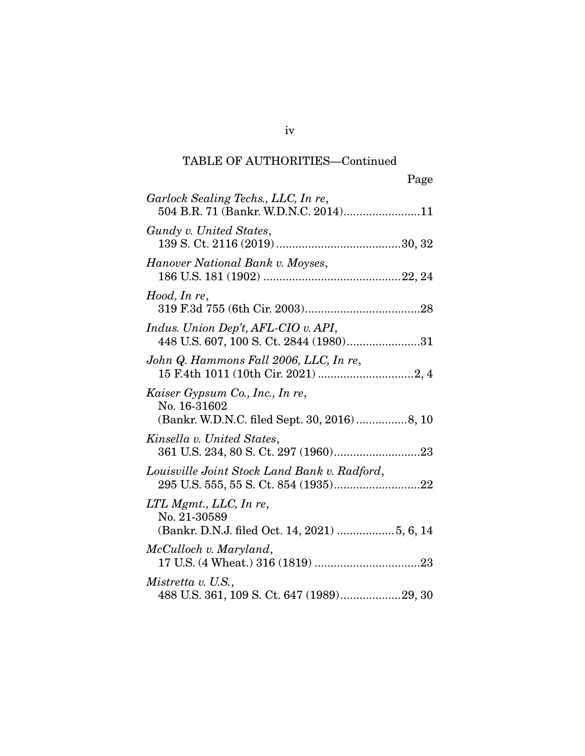| Garlock Sealing Techs., LLC, In re,<br>504 B.R. 71 (Bankr. W.D.N.C. 2014)11                      |
|--------------------------------------------------------------------------------------------------|
| Gundy v. United States,                                                                          |
| Hanover National Bank v. Moyses,                                                                 |
| Hood, In re,                                                                                     |
| Indus. Union Dep't, AFL-CIO v. API,<br>448 U.S. 607, 100 S. Ct. 2844 (1980)31                    |
| John Q. Hammons Fall 2006, LLC, In re,                                                           |
| Kaiser Gypsum Co., Inc., In re,<br>No. 16-31602<br>(Bankr. W.D.N.C. filed Sept. 30, 2016)  8, 10 |
| Kinsella v. United States,                                                                       |
| Louisville Joint Stock Land Bank v. Radford,                                                     |
| $LTL$ Mgmt., $LLC$ , In re,<br>No. 21-30589<br>(Bankr. D.N.J. filed Oct. 14, 2021) 5, 6, 14      |
| McCulloch v. Maryland,                                                                           |
| Mistretta v. U.S.,<br>488 U.S. 361, 109 S. Ct. 647 (1989)29, 30                                  |

iv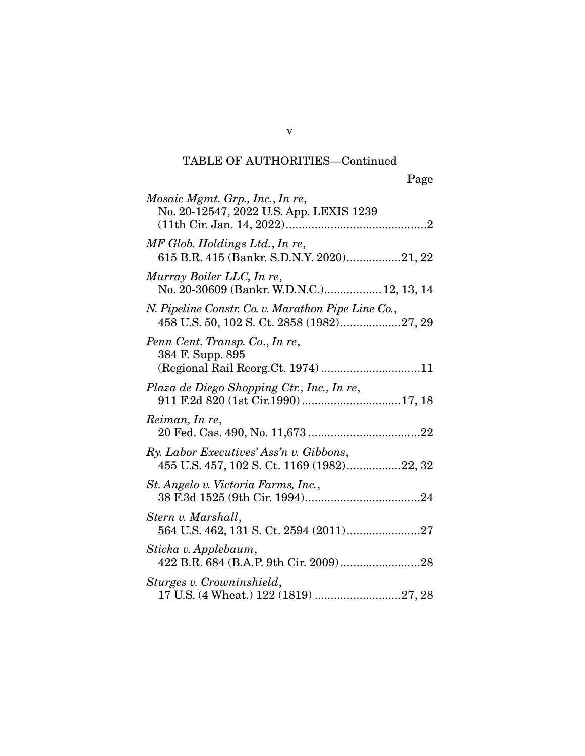| Mosaic Mgmt. Grp., Inc., In re,<br>No. 20-12547, 2022 U.S. App. LEXIS 1239                      |
|-------------------------------------------------------------------------------------------------|
| MF Glob. Holdings Ltd., In re,<br>615 B.R. 415 (Bankr. S.D.N.Y. 2020)21, 22                     |
| Murray Boiler LLC, In re,<br>No. 20-30609 (Bankr. W.D.N.C.) 12, 13, 14                          |
| N. Pipeline Constr. Co. v. Marathon Pipe Line Co.,<br>458 U.S. 50, 102 S. Ct. 2858 (1982)27, 29 |
| Penn Cent. Transp. Co., In re,<br>384 F. Supp. 895<br>(Regional Rail Reorg.Ct. 1974) 11         |
| Plaza de Diego Shopping Ctr., Inc., In re,                                                      |
| Reiman, In re,                                                                                  |
| Ry. Labor Executives' Ass'n v. Gibbons,<br>455 U.S. 457, 102 S. Ct. 1169 (1982)22, 32           |
| St. Angelo v. Victoria Farms, Inc.,                                                             |
| Stern v. Marshall,                                                                              |
| Sticka v. Applebaum,                                                                            |
| Sturges v. Crowninshield,<br>17 U.S. (4 Wheat.) 122 (1819) 27, 28                               |

v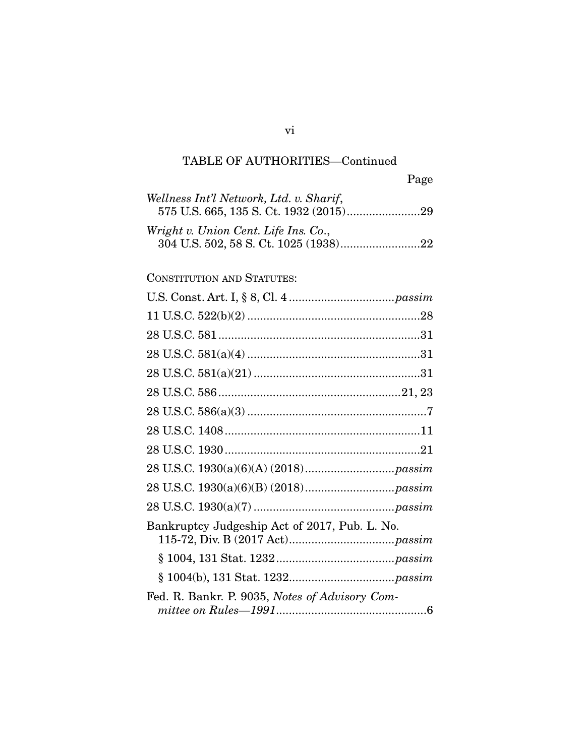| Wellness Int'l Network, Ltd. v. Sharif, |  |
|-----------------------------------------|--|
|                                         |  |
| Wright v. Union Cent. Life Ins. Co.,    |  |

### CONSTITUTION AND STATUTES:

| Bankruptcy Judgeship Act of 2017, Pub. L. No.  |
|------------------------------------------------|
|                                                |
|                                                |
| Fed. R. Bankr. P. 9035, Notes of Advisory Com- |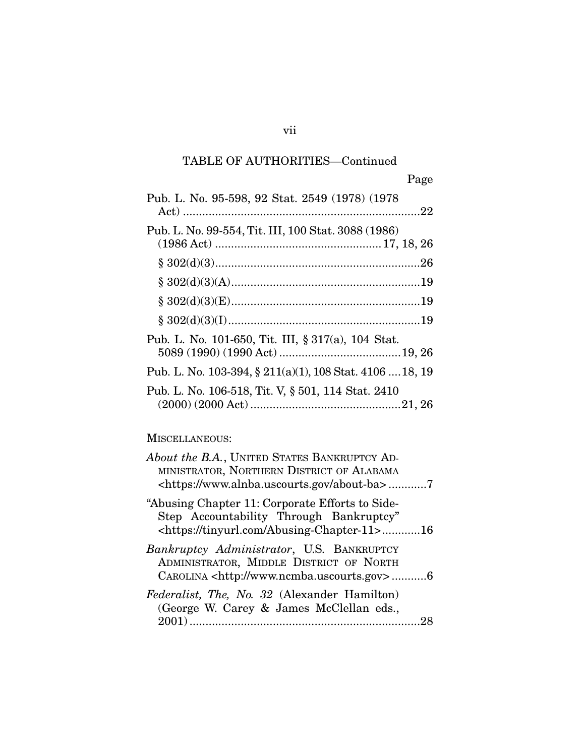| Pub. L. No. 95-598, 92 Stat. 2549 (1978) (1978)          |
|----------------------------------------------------------|
| Pub. L. No. 99-554, Tit. III, 100 Stat. 3088 (1986)      |
|                                                          |
|                                                          |
|                                                          |
|                                                          |
| Pub. L. No. 101-650, Tit. III, § 317(a), 104 Stat.       |
| Pub. L. No. 103-394, § 211(a)(1), 108 Stat. 4106  18, 19 |
| Pub. L. No. 106-518, Tit. V, § 501, 114 Stat. 2410       |

### MISCELLANEOUS:

| About the B.A., UNITED STATES BANKRUPTCY AD-<br>MINISTRATOR, NORTHERN DISTRICT OF ALABAMA<br><https: about-ba="" www.alnba.uscourts.gov="">7</https:>  |
|--------------------------------------------------------------------------------------------------------------------------------------------------------|
| "Abusing Chapter 11: Corporate Efforts to Side-<br>Step Accountability Through Bankruptcy"<br><https: abusing-chapter-11="" tinyurl.com="">16</https:> |
| <i>Bankruptcy Administrator</i> , U.S. BANKRUPTCY<br>ADMINISTRATOR, MIDDLE DISTRICT OF NORTH<br>CAROLINA <http: www.ncmba.uscourts.gov="">6</http:>    |
| Federalist, The, No. 32 (Alexander Hamilton)<br>(George W. Carey & James McClellan eds.,                                                               |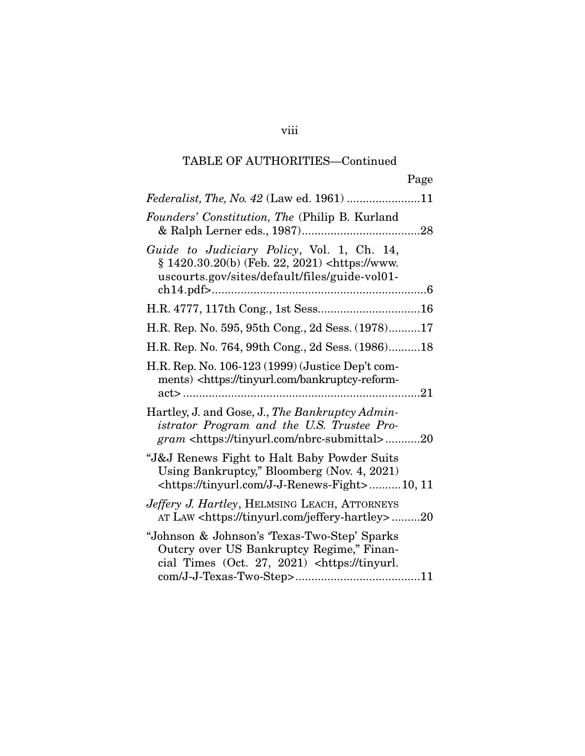|                                                                                                                                                                       | Page |
|-----------------------------------------------------------------------------------------------------------------------------------------------------------------------|------|
| Federalist, The, No. 42 (Law ed. 1961) 11                                                                                                                             |      |
| Founders' Constitution, The (Philip B. Kurland                                                                                                                        |      |
| Guide to Judiciary Policy, Vol. 1, Ch. 14,<br>§ 1420.30.20(b) (Feb. 22, 2021) <https: www.<br="">uscourts.gov/sites/default/files/guide-vol01-</https:>               |      |
|                                                                                                                                                                       |      |
| H.R. Rep. No. 595, 95th Cong., 2d Sess. (1978)17                                                                                                                      |      |
| H.R. Rep. No. 764, 99th Cong., 2d Sess. (1986)18                                                                                                                      |      |
| H.R. Rep. No. 106-123 (1999) (Justice Dep't com-<br>ments) <https: bankruptcy-reform-<="" td="" tinyurl.com=""><td></td></https:>                                     |      |
| Hartley, J. and Gose, J., The Bankruptcy Admin-<br>istrator Program and the U.S. Trustee Pro-<br><i>gram</i> <https: nbrc-submittal="" tinyurl.com="">20</https:>     |      |
| "J&J Renews Fight to Halt Baby Powder Suits<br>Using Bankruptcy," Bloomberg (Nov. 4, 2021)<br><https: j-j-renews-fight="" tinyurl.com="">10, 11</https:>              |      |
| <i>Jeffery J. Hartley</i> , HELMSING LEACH, ATTORNEYS<br>AT LAW <https: jeffery-hartley="" tinyurl.com="">20</https:>                                                 |      |
| "Johnson & Johnson's 'Texas-Two-Step' Sparks<br>Outcry over US Bankruptcy Regime," Finan-<br>cial Times (Oct. 27, 2021) <https: td="" tinyurl.<=""><td></td></https:> |      |

viii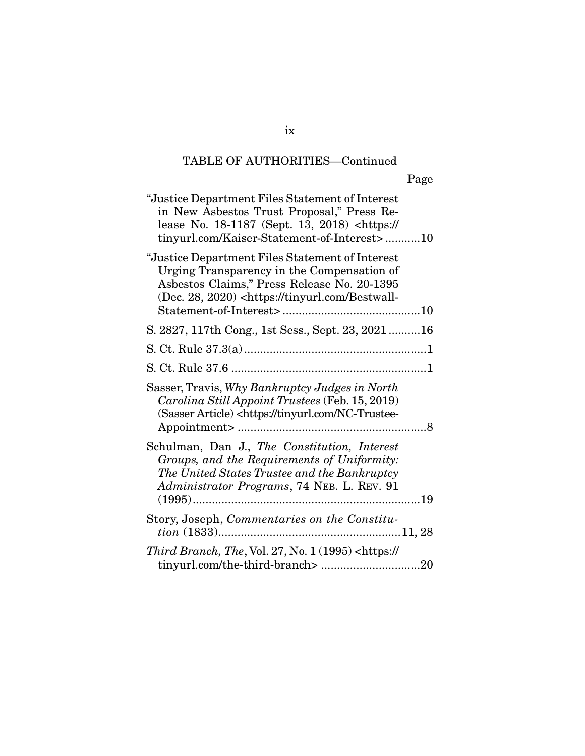| "Justice Department Files Statement of Interest"<br>in New Asbestos Trust Proposal," Press Re-<br>lease No. 18-1187 (Sept. 13, 2018) <https: <br="">tinyurl.com/Kaiser-Statement-of-Interest&gt;10</https:>           |
|-----------------------------------------------------------------------------------------------------------------------------------------------------------------------------------------------------------------------|
| "Justice Department Files Statement of Interest"<br>Urging Transparency in the Compensation of<br>Asbestos Claims," Press Release No. 20-1395<br>(Dec. 28, 2020) <https: bestwall-<="" td="" tinyurl.com=""></https:> |
| S. 2827, 117th Cong., 1st Sess., Sept. 23, 202116                                                                                                                                                                     |
|                                                                                                                                                                                                                       |
|                                                                                                                                                                                                                       |
| Sasser, Travis, Why Bankruptcy Judges in North<br>Carolina Still Appoint Trustees (Feb. 15, 2019)<br>(Sasser Article) <https: nc-trustee-<="" td="" tinyurl.com=""></https:>                                          |
| Schulman, Dan J., The Constitution, Interest<br>Groups, and the Requirements of Uniformity:<br>The United States Trustee and the Bankruptcy<br>Administrator Programs, 74 NEB. L. REV. 91                             |
| Story, Joseph, Commentaries on the Constitu-                                                                                                                                                                          |
| Third Branch, The, Vol. 27, No. $1(1995)$ <https: <="" td=""></https:>                                                                                                                                                |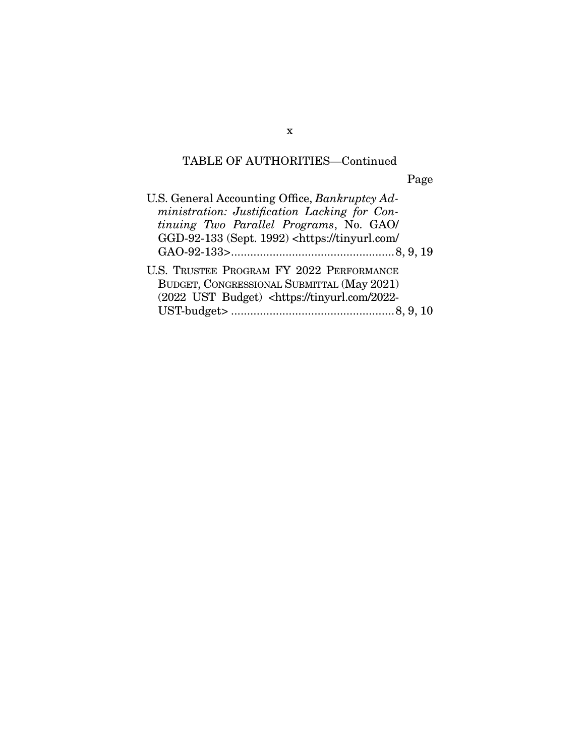Page

| U.S. General Accounting Office, Bankruptcy Ad-                      |
|---------------------------------------------------------------------|
| ministration: Justification Lacking for Con-                        |
| tinuing Two Parallel Programs, No. GAO/                             |
| GGD-92-133 (Sept. 1992) <https: <="" td="" tinyurl.com=""></https:> |
|                                                                     |
| U.S. TRUSTEE PROGRAM FY 2022 PERFORMANCE                            |
| BUDGET, CONGRESSIONAL SUBMITTAL (May 2021)                          |
| (2022 UST Budget) <https: 2022-<="" td="" tinyurl.com=""></https:>  |
|                                                                     |
|                                                                     |

x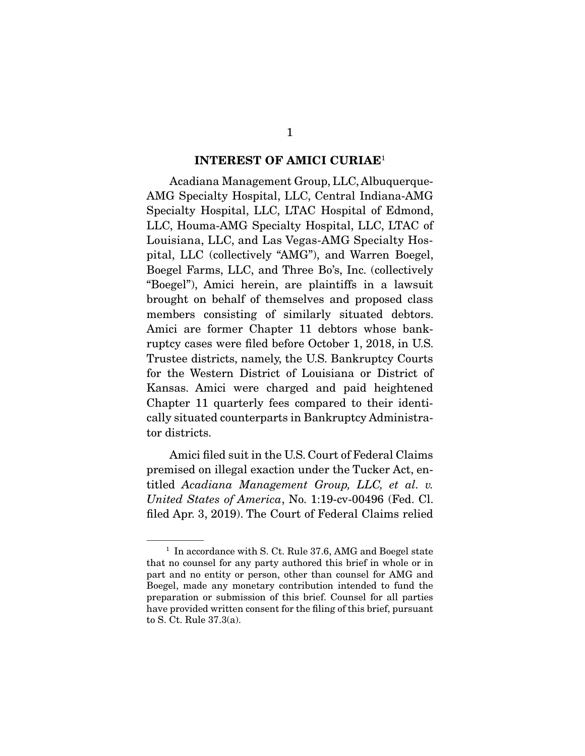#### **INTEREST OF AMICI CURIAE**<sup>1</sup>

 Acadiana Management Group, LLC, Albuquerque-AMG Specialty Hospital, LLC, Central Indiana-AMG Specialty Hospital, LLC, LTAC Hospital of Edmond, LLC, Houma-AMG Specialty Hospital, LLC, LTAC of Louisiana, LLC, and Las Vegas-AMG Specialty Hospital, LLC (collectively "AMG"), and Warren Boegel, Boegel Farms, LLC, and Three Bo's, Inc. (collectively "Boegel"), Amici herein, are plaintiffs in a lawsuit brought on behalf of themselves and proposed class members consisting of similarly situated debtors. Amici are former Chapter 11 debtors whose bankruptcy cases were filed before October 1, 2018, in U.S. Trustee districts, namely, the U.S. Bankruptcy Courts for the Western District of Louisiana or District of Kansas. Amici were charged and paid heightened Chapter 11 quarterly fees compared to their identically situated counterparts in Bankruptcy Administrator districts.

 Amici filed suit in the U.S. Court of Federal Claims premised on illegal exaction under the Tucker Act, entitled *Acadiana Management Group, LLC, et al. v. United States of America*, No. 1:19-cv-00496 (Fed. Cl. filed Apr. 3, 2019). The Court of Federal Claims relied

<sup>&</sup>lt;sup>1</sup> In accordance with S. Ct. Rule 37.6, AMG and Boegel state that no counsel for any party authored this brief in whole or in part and no entity or person, other than counsel for AMG and Boegel, made any monetary contribution intended to fund the preparation or submission of this brief. Counsel for all parties have provided written consent for the filing of this brief, pursuant to S. Ct. Rule 37.3(a).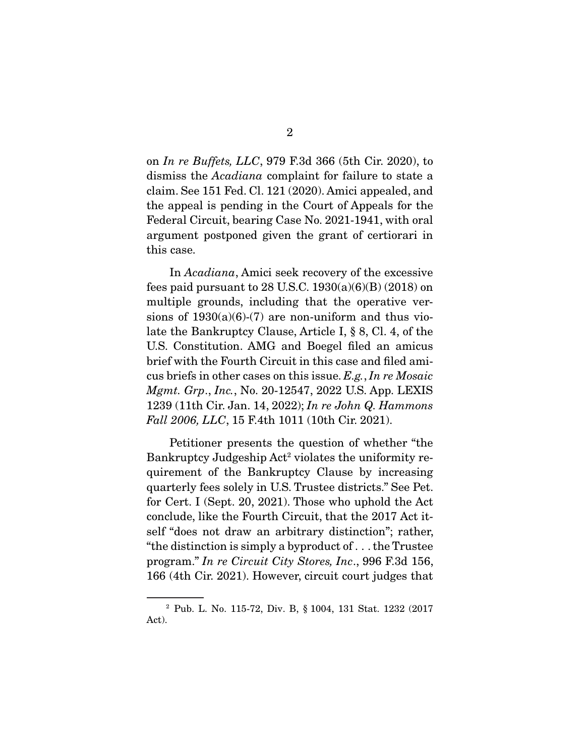on *In re Buffets, LLC*, 979 F.3d 366 (5th Cir. 2020), to dismiss the *Acadiana* complaint for failure to state a claim. See 151 Fed. Cl. 121 (2020). Amici appealed, and the appeal is pending in the Court of Appeals for the Federal Circuit, bearing Case No. 2021-1941, with oral argument postponed given the grant of certiorari in this case.

 In *Acadiana*, Amici seek recovery of the excessive fees paid pursuant to 28 U.S.C.  $1930(a)(6)(B)(2018)$  on multiple grounds, including that the operative versions of  $1930(a)(6)-(7)$  are non-uniform and thus violate the Bankruptcy Clause, Article I, § 8, Cl. 4, of the U.S. Constitution. AMG and Boegel filed an amicus brief with the Fourth Circuit in this case and filed amicus briefs in other cases on this issue. *E.g.*, *In re Mosaic Mgmt. Grp*., *Inc.*, No. 20-12547, 2022 U.S. App. LEXIS 1239 (11th Cir. Jan. 14, 2022); *In re John Q. Hammons Fall 2006, LLC*, 15 F.4th 1011 (10th Cir. 2021).

 Petitioner presents the question of whether "the Bankruptcy Judgeship Act<sup>2</sup> violates the uniformity requirement of the Bankruptcy Clause by increasing quarterly fees solely in U.S. Trustee districts." See Pet. for Cert. I (Sept. 20, 2021). Those who uphold the Act conclude, like the Fourth Circuit, that the 2017 Act itself "does not draw an arbitrary distinction"; rather, "the distinction is simply a byproduct of . . . the Trustee program." *In re Circuit City Stores, Inc*., 996 F.3d 156, 166 (4th Cir. 2021). However, circuit court judges that

<sup>2</sup> Pub. L. No. 115-72, Div. B, § 1004, 131 Stat. 1232 (2017 Act).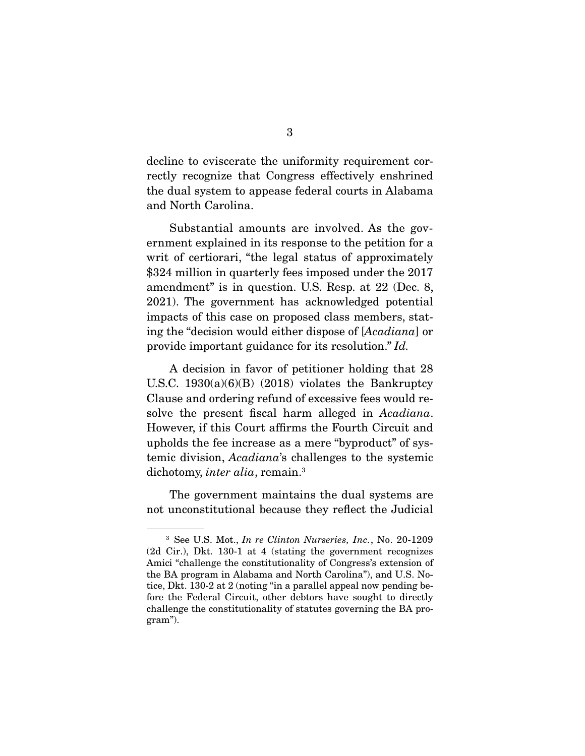decline to eviscerate the uniformity requirement correctly recognize that Congress effectively enshrined the dual system to appease federal courts in Alabama and North Carolina.

 Substantial amounts are involved. As the government explained in its response to the petition for a writ of certiorari, "the legal status of approximately \$324 million in quarterly fees imposed under the 2017 amendment" is in question. U.S. Resp. at 22 (Dec. 8, 2021). The government has acknowledged potential impacts of this case on proposed class members, stating the "decision would either dispose of [*Acadiana*] or provide important guidance for its resolution." *Id.*

 A decision in favor of petitioner holding that 28 U.S.C.  $1930(a)(6)(B)$  (2018) violates the Bankruptcy Clause and ordering refund of excessive fees would resolve the present fiscal harm alleged in *Acadiana*. However, if this Court affirms the Fourth Circuit and upholds the fee increase as a mere "byproduct" of systemic division, *Acadiana*'s challenges to the systemic dichotomy, *inter alia*, remain.3

 The government maintains the dual systems are not unconstitutional because they reflect the Judicial

<sup>3</sup> See U.S. Mot., *In re Clinton Nurseries, Inc.*, No. 20-1209 (2d Cir.), Dkt. 130-1 at 4 (stating the government recognizes Amici "challenge the constitutionality of Congress's extension of the BA program in Alabama and North Carolina"), and U.S. Notice, Dkt. 130-2 at 2 (noting "in a parallel appeal now pending before the Federal Circuit, other debtors have sought to directly challenge the constitutionality of statutes governing the BA program").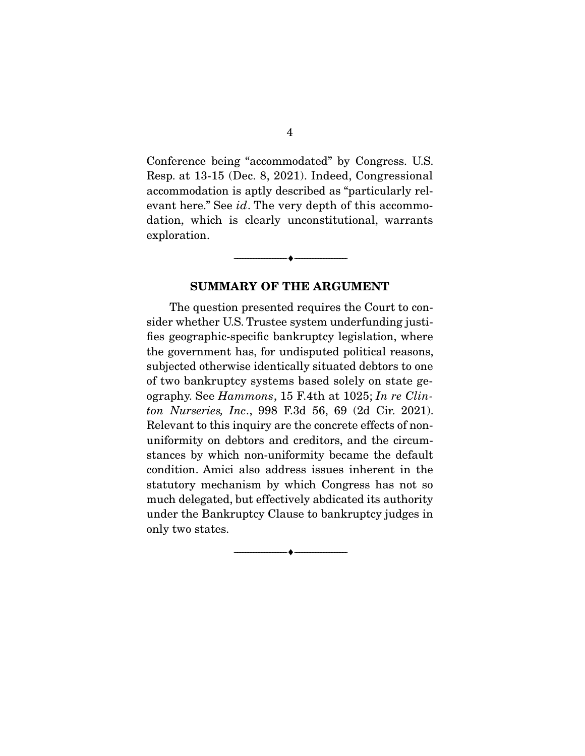Conference being "accommodated" by Congress. U.S. Resp. at 13-15 (Dec. 8, 2021). Indeed, Congressional accommodation is aptly described as "particularly relevant here." See *id*. The very depth of this accommodation, which is clearly unconstitutional, warrants exploration.

#### **SUMMARY OF THE ARGUMENT**

--------------------------------- ♦ ---------------------------------

 The question presented requires the Court to consider whether U.S. Trustee system underfunding justifies geographic-specific bankruptcy legislation, where the government has, for undisputed political reasons, subjected otherwise identically situated debtors to one of two bankruptcy systems based solely on state geography. See *Hammons*, 15 F.4th at 1025; *In re Clinton Nurseries, Inc*., 998 F.3d 56, 69 (2d Cir. 2021). Relevant to this inquiry are the concrete effects of nonuniformity on debtors and creditors, and the circumstances by which non-uniformity became the default condition. Amici also address issues inherent in the statutory mechanism by which Congress has not so much delegated, but effectively abdicated its authority under the Bankruptcy Clause to bankruptcy judges in only two states.

--------------------------------- ♦ ---------------------------------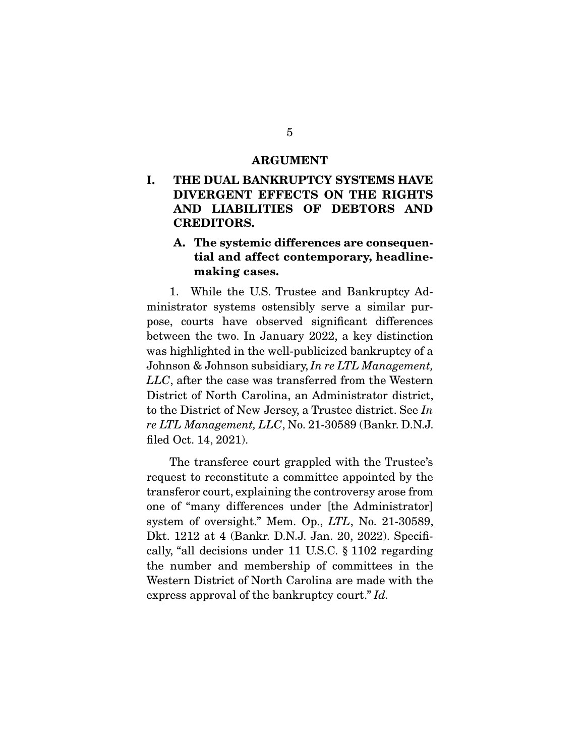#### **ARGUMENT**

**I. THE DUAL BANKRUPTCY SYSTEMS HAVE DIVERGENT EFFECTS ON THE RIGHTS AND LIABILITIES OF DEBTORS AND CREDITORS.** 

#### **A. The systemic differences are consequential and affect contemporary, headlinemaking cases.**

 1. While the U.S. Trustee and Bankruptcy Administrator systems ostensibly serve a similar purpose, courts have observed significant differences between the two. In January 2022, a key distinction was highlighted in the well-publicized bankruptcy of a Johnson & Johnson subsidiary, *In re LTL Management, LLC*, after the case was transferred from the Western District of North Carolina, an Administrator district, to the District of New Jersey, a Trustee district. See *In re LTL Management, LLC*, No. 21-30589 (Bankr. D.N.J. filed Oct. 14, 2021).

 The transferee court grappled with the Trustee's request to reconstitute a committee appointed by the transferor court, explaining the controversy arose from one of "many differences under [the Administrator] system of oversight." Mem. Op., *LTL*, No. 21-30589, Dkt. 1212 at 4 (Bankr. D.N.J. Jan. 20, 2022). Specifically, "all decisions under 11 U.S.C. § 1102 regarding the number and membership of committees in the Western District of North Carolina are made with the express approval of the bankruptcy court." *Id.*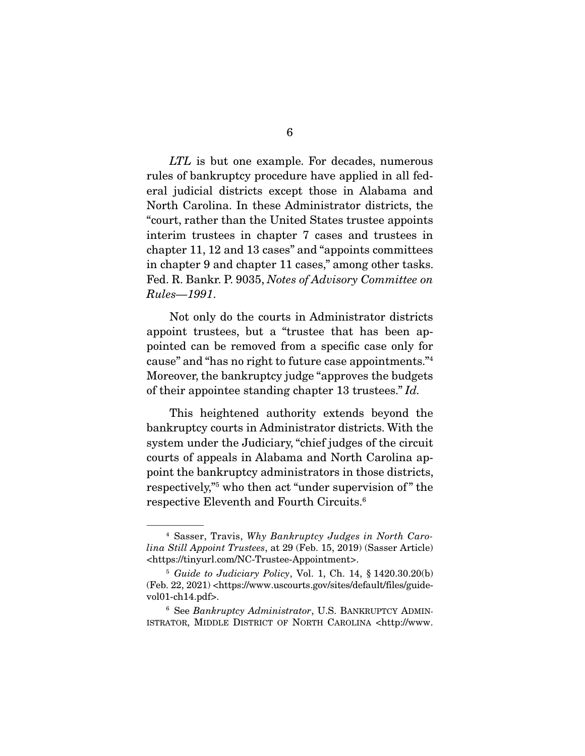*LTL* is but one example. For decades, numerous rules of bankruptcy procedure have applied in all federal judicial districts except those in Alabama and North Carolina. In these Administrator districts, the "court, rather than the United States trustee appoints interim trustees in chapter 7 cases and trustees in chapter 11, 12 and 13 cases" and "appoints committees in chapter 9 and chapter 11 cases," among other tasks. Fed. R. Bankr. P. 9035, *Notes of Advisory Committee on Rules—1991*.

 Not only do the courts in Administrator districts appoint trustees, but a "trustee that has been appointed can be removed from a specific case only for cause" and "has no right to future case appointments."4 Moreover, the bankruptcy judge "approves the budgets of their appointee standing chapter 13 trustees." *Id.*

 This heightened authority extends beyond the bankruptcy courts in Administrator districts. With the system under the Judiciary, "chief judges of the circuit courts of appeals in Alabama and North Carolina appoint the bankruptcy administrators in those districts, respectively,"5 who then act "under supervision of " the respective Eleventh and Fourth Circuits.6

<sup>4</sup> Sasser, Travis, *Why Bankruptcy Judges in North Carolina Still Appoint Trustees*, at 29 (Feb. 15, 2019) (Sasser Article) <https://tinyurl.com/NC-Trustee-Appointment>.

<sup>5</sup> *Guide to Judiciary Policy*, Vol. 1, Ch. 14, § 1420.30.20(b) (Feb. 22, 2021) <https://www.uscourts.gov/sites/default/files/guidevol01-ch14.pdf>.

<sup>6</sup> See *Bankruptcy Administrator*, U.S. BANKRUPTCY ADMIN-ISTRATOR, MIDDLE DISTRICT OF NORTH CAROLINA <http://www.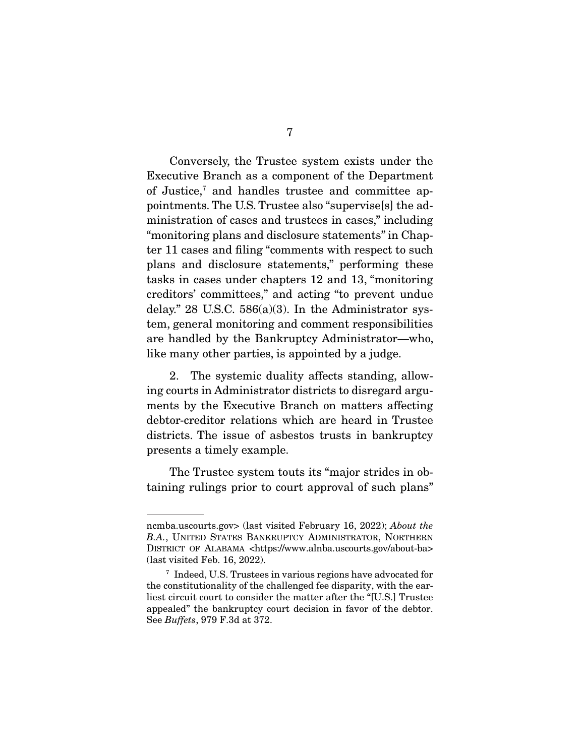Conversely, the Trustee system exists under the Executive Branch as a component of the Department of Justice,<sup>7</sup> and handles trustee and committee appointments. The U.S. Trustee also "supervise[s] the administration of cases and trustees in cases," including "monitoring plans and disclosure statements" in Chapter 11 cases and filing "comments with respect to such plans and disclosure statements," performing these tasks in cases under chapters 12 and 13, "monitoring creditors' committees," and acting "to prevent undue delay." 28 U.S.C.  $586(a)(3)$ . In the Administrator system, general monitoring and comment responsibilities are handled by the Bankruptcy Administrator—who, like many other parties, is appointed by a judge.

 2. The systemic duality affects standing, allowing courts in Administrator districts to disregard arguments by the Executive Branch on matters affecting debtor-creditor relations which are heard in Trustee districts. The issue of asbestos trusts in bankruptcy presents a timely example.

 The Trustee system touts its "major strides in obtaining rulings prior to court approval of such plans"

ncmba.uscourts.gov> (last visited February 16, 2022); *About the B.A.*, UNITED STATES BANKRUPTCY ADMINISTRATOR, NORTHERN DISTRICT OF ALABAMA <https://www.alnba.uscourts.gov/about-ba> (last visited Feb. 16, 2022).

<sup>7</sup> Indeed, U.S. Trustees in various regions have advocated for the constitutionality of the challenged fee disparity, with the earliest circuit court to consider the matter after the "[U.S.] Trustee appealed" the bankruptcy court decision in favor of the debtor. See *Buffets*, 979 F.3d at 372.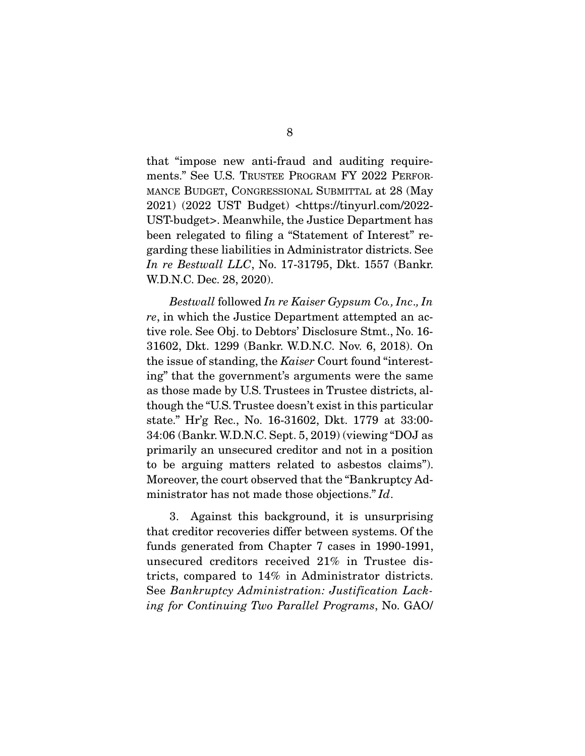that "impose new anti-fraud and auditing requirements." See U.S. TRUSTEE PROGRAM FY 2022 PERFOR-MANCE BUDGET, CONGRESSIONAL SUBMITTAL at 28 (May 2021) (2022 UST Budget) <https://tinyurl.com/2022- UST-budget>. Meanwhile, the Justice Department has been relegated to filing a "Statement of Interest" regarding these liabilities in Administrator districts. See *In re Bestwall LLC*, No. 17-31795, Dkt. 1557 (Bankr. W.D.N.C. Dec. 28, 2020).

*Bestwall* followed *In re Kaiser Gypsum Co., Inc*.*, In re*, in which the Justice Department attempted an active role. See Obj. to Debtors' Disclosure Stmt., No. 16- 31602, Dkt. 1299 (Bankr. W.D.N.C. Nov. 6, 2018). On the issue of standing, the *Kaiser* Court found "interesting" that the government's arguments were the same as those made by U.S. Trustees in Trustee districts, although the "U.S. Trustee doesn't exist in this particular state." Hr'g Rec., No. 16-31602, Dkt. 1779 at 33:00- 34:06 (Bankr. W.D.N.C. Sept. 5, 2019) (viewing "DOJ as primarily an unsecured creditor and not in a position to be arguing matters related to asbestos claims"). Moreover, the court observed that the "Bankruptcy Administrator has not made those objections." *Id*.

 3. Against this background, it is unsurprising that creditor recoveries differ between systems. Of the funds generated from Chapter 7 cases in 1990-1991, unsecured creditors received 21% in Trustee districts, compared to 14% in Administrator districts. See *Bankruptcy Administration: Justification Lacking for Continuing Two Parallel Programs*, No. GAO/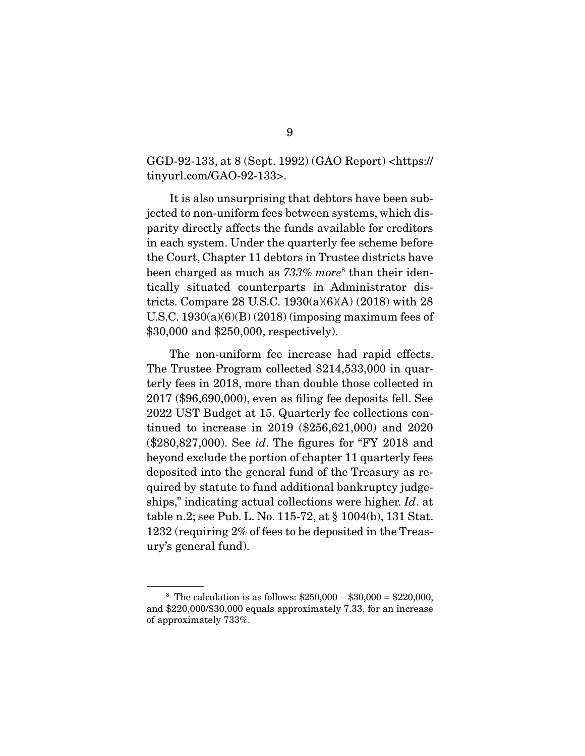GGD-92-133, at 8 (Sept. 1992) (GAO Report) <https:// tinyurl.com/GAO-92-133>.

 It is also unsurprising that debtors have been subjected to non-uniform fees between systems, which disparity directly affects the funds available for creditors in each system. Under the quarterly fee scheme before the Court, Chapter 11 debtors in Trustee districts have been charged as much as *733% more*<sup>8</sup> than their identically situated counterparts in Administrator districts. Compare 28 U.S.C. 1930(a)(6)(A) (2018) with 28 U.S.C.  $1930(a)(6)(B)(2018)$  (imposing maximum fees of \$30,000 and \$250,000, respectively).

 The non-uniform fee increase had rapid effects. The Trustee Program collected \$214,533,000 in quarterly fees in 2018, more than double those collected in 2017 (\$96,690,000), even as filing fee deposits fell. See 2022 UST Budget at 15. Quarterly fee collections continued to increase in 2019 (\$256,621,000) and 2020 (\$280,827,000). See *id*. The figures for "FY 2018 and beyond exclude the portion of chapter 11 quarterly fees deposited into the general fund of the Treasury as required by statute to fund additional bankruptcy judgeships," indicating actual collections were higher. *Id*. at table n.2; see Pub. L. No. 115-72, at § 1004(b), 131 Stat. 1232 (requiring 2% of fees to be deposited in the Treasury's general fund).

<sup>&</sup>lt;sup>8</sup> The calculation is as follows:  $$250,000 - $30,000 = $220,000$ , and \$220,000/\$30,000 equals approximately 7.33, for an increase of approximately 733%.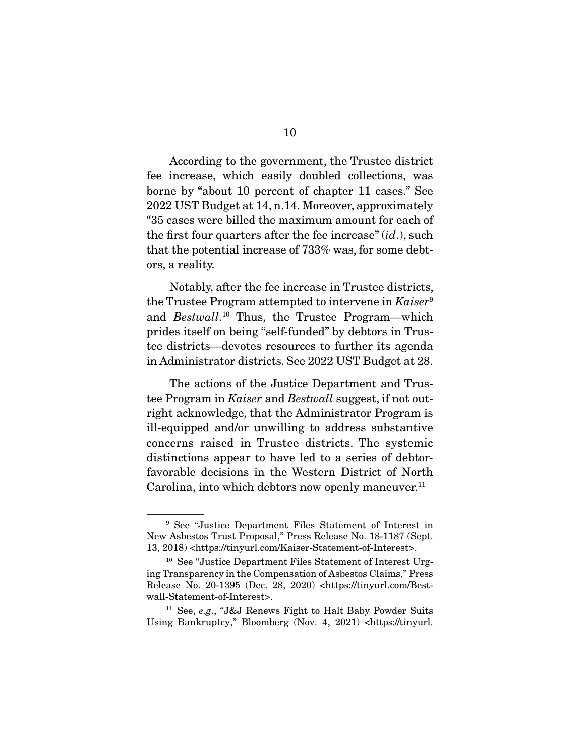According to the government, the Trustee district fee increase, which easily doubled collections, was borne by "about 10 percent of chapter 11 cases." See 2022 UST Budget at 14, n.14. Moreover, approximately "35 cases were billed the maximum amount for each of the first four quarters after the fee increase" (*id*.), such that the potential increase of 733% was, for some debtors, a reality.

 Notably, after the fee increase in Trustee districts, the Trustee Program attempted to intervene in *Kaiser*<sup>9</sup> and *Bestwall*. 10 Thus, the Trustee Program—which prides itself on being "self-funded" by debtors in Trustee districts—devotes resources to further its agenda in Administrator districts. See 2022 UST Budget at 28.

 The actions of the Justice Department and Trustee Program in *Kaiser* and *Bestwall* suggest, if not outright acknowledge, that the Administrator Program is ill-equipped and/or unwilling to address substantive concerns raised in Trustee districts. The systemic distinctions appear to have led to a series of debtorfavorable decisions in the Western District of North Carolina, into which debtors now openly maneuver. $^{11}$ 

<sup>9</sup> See "Justice Department Files Statement of Interest in New Asbestos Trust Proposal," Press Release No. 18-1187 (Sept. 13, 2018) <https://tinyurl.com/Kaiser-Statement-of-Interest>.

<sup>10</sup> See "Justice Department Files Statement of Interest Urging Transparency in the Compensation of Asbestos Claims," Press Release No. 20-1395 (Dec. 28, 2020) <https://tinyurl.com/Bestwall-Statement-of-Interest>.

<sup>11</sup> See, *e.g*., *"*J&J Renews Fight to Halt Baby Powder Suits Using Bankruptcy," Bloomberg (Nov. 4, 2021) <https://tinyurl.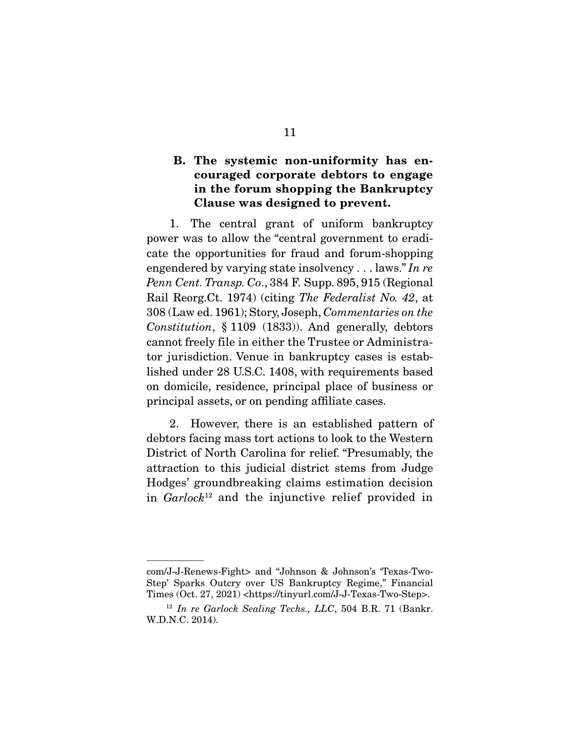#### **B. The systemic non-uniformity has encouraged corporate debtors to engage in the forum shopping the Bankruptcy Clause was designed to prevent.**

 1. The central grant of uniform bankruptcy power was to allow the "central government to eradicate the opportunities for fraud and forum-shopping engendered by varying state insolvency . . . laws." *In re Penn Cent. Transp. Co*., 384 F. Supp. 895, 915 (Regional Rail Reorg.Ct. 1974) (citing *The Federalist No. 42*, at 308 (Law ed. 1961); Story, Joseph, *Commentaries on the Constitution*, § 1109 (1833)). And generally, debtors cannot freely file in either the Trustee or Administrator jurisdiction. Venue in bankruptcy cases is established under 28 U.S.C. 1408, with requirements based on domicile, residence, principal place of business or principal assets, or on pending affiliate cases.

 2. However, there is an established pattern of debtors facing mass tort actions to look to the Western District of North Carolina for relief. "Presumably, the attraction to this judicial district stems from Judge Hodges' groundbreaking claims estimation decision in *Garlock*12 and the injunctive relief provided in

com/J-J-Renews-Fight> and "Johnson & Johnson's 'Texas-Two-Step' Sparks Outcry over US Bankruptcy Regime," Financial Times (Oct. 27, 2021) <https://tinyurl.com/J-J-Texas-Two-Step>.

<sup>12</sup> *In re Garlock Sealing Techs., LLC*, 504 B.R. 71 (Bankr. W.D.N.C. 2014).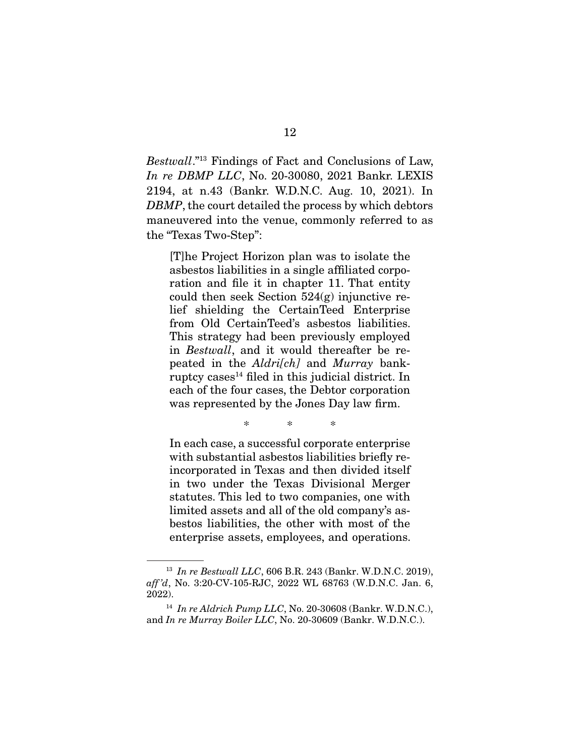*Bestwall*."13 Findings of Fact and Conclusions of Law, *In re DBMP LLC*, No. 20-30080, 2021 Bankr. LEXIS 2194, at n.43 (Bankr. W.D.N.C. Aug. 10, 2021). In *DBMP*, the court detailed the process by which debtors maneuvered into the venue, commonly referred to as the "Texas Two-Step":

[T]he Project Horizon plan was to isolate the asbestos liabilities in a single affiliated corporation and file it in chapter 11. That entity could then seek Section 524(g) injunctive relief shielding the CertainTeed Enterprise from Old CertainTeed's asbestos liabilities. This strategy had been previously employed in *Bestwall*, and it would thereafter be repeated in the *Aldri[ch]* and *Murray* bankruptcy cases $<sup>14</sup>$  filed in this judicial district. In</sup> each of the four cases, the Debtor corporation was represented by the Jones Day law firm.

\* \* \*

In each case, a successful corporate enterprise with substantial asbestos liabilities briefly reincorporated in Texas and then divided itself in two under the Texas Divisional Merger statutes. This led to two companies, one with limited assets and all of the old company's asbestos liabilities, the other with most of the enterprise assets, employees, and operations.

<sup>13</sup> *In re Bestwall LLC*, 606 B.R. 243 (Bankr. W.D.N.C. 2019), *aff 'd*, No. 3:20-CV-105-RJC, 2022 WL 68763 (W.D.N.C. Jan. 6, 2022).

<sup>14</sup> *In re Aldrich Pump LLC*, No. 20-30608 (Bankr. W.D.N.C.), and *In re Murray Boiler LLC*, No. 20-30609 (Bankr. W.D.N.C.).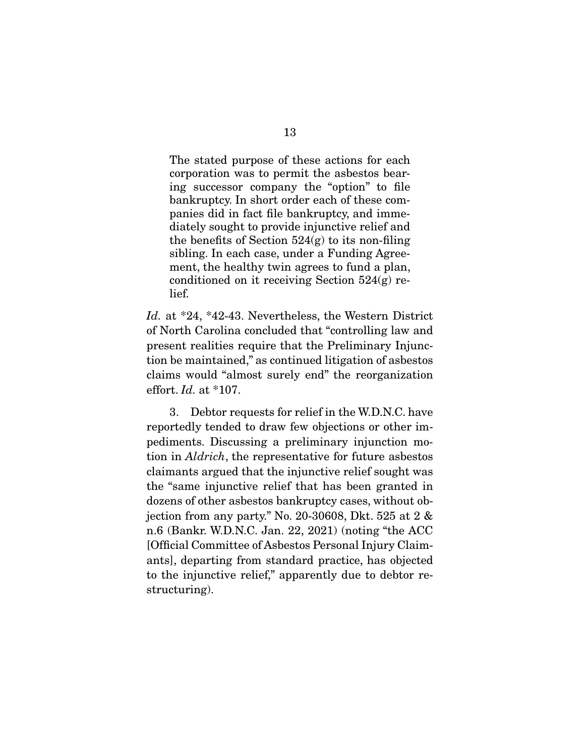The stated purpose of these actions for each corporation was to permit the asbestos bearing successor company the "option" to file bankruptcy. In short order each of these companies did in fact file bankruptcy, and immediately sought to provide injunctive relief and the benefits of Section  $524(g)$  to its non-filing sibling. In each case, under a Funding Agreement, the healthy twin agrees to fund a plan, conditioned on it receiving Section 524(g) relief.

*Id.* at \*24, \*42-43. Nevertheless, the Western District of North Carolina concluded that "controlling law and present realities require that the Preliminary Injunction be maintained," as continued litigation of asbestos claims would "almost surely end" the reorganization effort. *Id.* at \*107.

 3. Debtor requests for relief in the W.D.N.C. have reportedly tended to draw few objections or other impediments. Discussing a preliminary injunction motion in *Aldrich*, the representative for future asbestos claimants argued that the injunctive relief sought was the "same injunctive relief that has been granted in dozens of other asbestos bankruptcy cases, without objection from any party." No. 20-30608, Dkt. 525 at 2 & n.6 (Bankr. W.D.N.C. Jan. 22, 2021) (noting "the ACC [Official Committee of Asbestos Personal Injury Claimants], departing from standard practice, has objected to the injunctive relief," apparently due to debtor restructuring).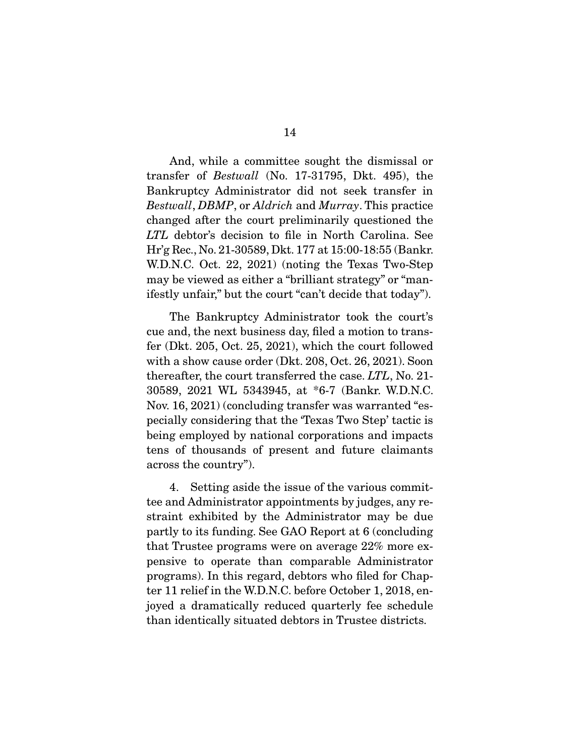And, while a committee sought the dismissal or transfer of *Bestwall* (No. 17-31795, Dkt. 495), the Bankruptcy Administrator did not seek transfer in *Bestwall*, *DBMP*, or *Aldrich* and *Murray*. This practice changed after the court preliminarily questioned the *LTL* debtor's decision to file in North Carolina. See Hr'g Rec., No. 21-30589, Dkt. 177 at 15:00-18:55 (Bankr. W.D.N.C. Oct. 22, 2021) (noting the Texas Two-Step may be viewed as either a "brilliant strategy" or "manifestly unfair," but the court "can't decide that today").

 The Bankruptcy Administrator took the court's cue and, the next business day, filed a motion to transfer (Dkt. 205, Oct. 25, 2021), which the court followed with a show cause order (Dkt. 208, Oct. 26, 2021). Soon thereafter, the court transferred the case. *LTL*, No. 21- 30589, 2021 WL 5343945, at \*6-7 (Bankr. W.D.N.C. Nov. 16, 2021) (concluding transfer was warranted "especially considering that the 'Texas Two Step' tactic is being employed by national corporations and impacts tens of thousands of present and future claimants across the country").

 4. Setting aside the issue of the various committee and Administrator appointments by judges, any restraint exhibited by the Administrator may be due partly to its funding. See GAO Report at 6 (concluding that Trustee programs were on average 22% more expensive to operate than comparable Administrator programs). In this regard, debtors who filed for Chapter 11 relief in the W.D.N.C. before October 1, 2018, enjoyed a dramatically reduced quarterly fee schedule than identically situated debtors in Trustee districts.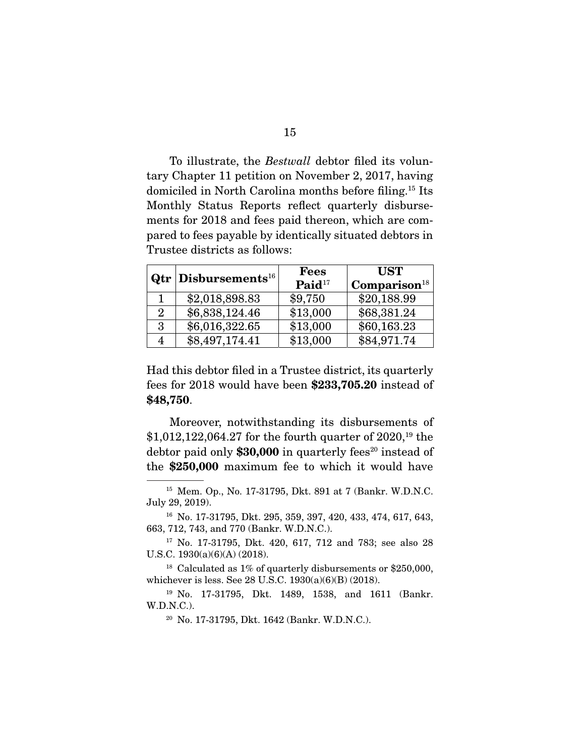To illustrate, the *Bestwall* debtor filed its voluntary Chapter 11 petition on November 2, 2017, having domiciled in North Carolina months before filing.15 Its Monthly Status Reports reflect quarterly disbursements for 2018 and fees paid thereon, which are compared to fees payable by identically situated debtors in Trustee districts as follows:

|                | $Qtr$ Disbursements <sup>16</sup> | <b>Fees</b>          | <b>UST</b>                 |
|----------------|-----------------------------------|----------------------|----------------------------|
|                |                                   | $\mathbf{Paid}^{17}$ | $\mathbf{Comparison}^{18}$ |
|                | \$2,018,898.83                    | \$9,750              | \$20,188.99                |
| $\overline{2}$ | \$6,838,124.46                    | \$13,000             | \$68,381.24                |
| 3              | \$6,016,322.65                    | \$13,000             | \$60,163.23                |
| 4              | \$8,497,174.41                    | \$13,000             | \$84,971.74                |

Had this debtor filed in a Trustee district, its quarterly fees for 2018 would have been **\$233,705.20** instead of **\$48,750**.

 Moreover, notwithstanding its disbursements of \$1,012,122,064.27 for the fourth quarter of 2020,19 the debtor paid only \$30,000 in quarterly fees<sup>20</sup> instead of the **\$250,000** maximum fee to which it would have

<sup>15</sup> Mem. Op., No. 17-31795, Dkt. 891 at 7 (Bankr. W.D.N.C. July 29, 2019).

<sup>16</sup> No. 17-31795, Dkt. 295, 359, 397, 420, 433, 474, 617, 643, 663, 712, 743, and 770 (Bankr. W.D.N.C.).

<sup>17</sup> No. 17-31795, Dkt. 420, 617, 712 and 783; see also 28 U.S.C. 1930(a)(6)(A) (2018).

<sup>&</sup>lt;sup>18</sup> Calculated as  $1\%$  of quarterly disbursements or \$250,000, whichever is less. See 28 U.S.C. 1930(a)(6)(B) (2018).

<sup>19</sup> No. 17-31795, Dkt. 1489, 1538, and 1611 (Bankr. W.D.N.C.).

<sup>20</sup> No. 17-31795, Dkt. 1642 (Bankr. W.D.N.C.).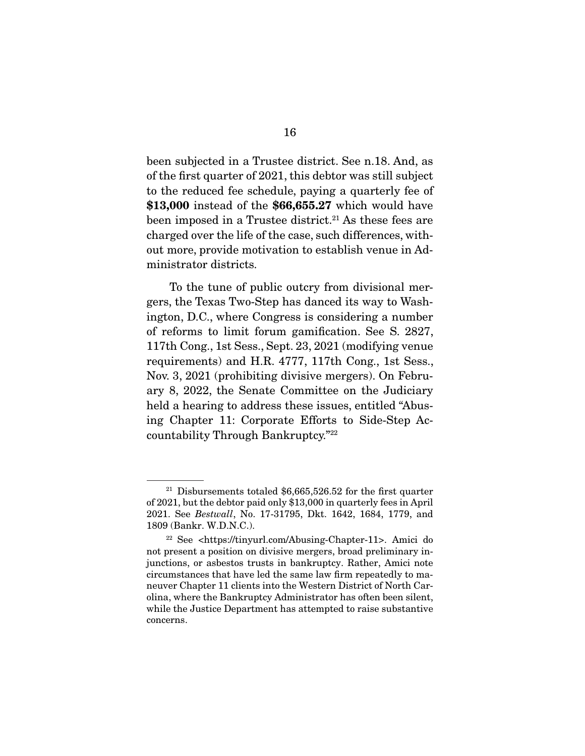been subjected in a Trustee district. See n.18. And, as of the first quarter of 2021, this debtor was still subject to the reduced fee schedule, paying a quarterly fee of **\$13,000** instead of the **\$66,655.27** which would have been imposed in a Trustee district.<sup>21</sup> As these fees are charged over the life of the case, such differences, without more, provide motivation to establish venue in Administrator districts.

 To the tune of public outcry from divisional mergers, the Texas Two-Step has danced its way to Washington, D.C., where Congress is considering a number of reforms to limit forum gamification. See S. 2827, 117th Cong., 1st Sess., Sept. 23, 2021 (modifying venue requirements) and H.R. 4777, 117th Cong., 1st Sess., Nov. 3, 2021 (prohibiting divisive mergers). On February 8, 2022, the Senate Committee on the Judiciary held a hearing to address these issues, entitled "Abusing Chapter 11: Corporate Efforts to Side-Step Accountability Through Bankruptcy."22

<sup>&</sup>lt;sup>21</sup> Disbursements totaled  $$6,665,526.52$  for the first quarter of 2021, but the debtor paid only \$13,000 in quarterly fees in April 2021. See *Bestwall*, No. 17-31795, Dkt. 1642, 1684, 1779, and 1809 (Bankr. W.D.N.C.).

<sup>22</sup> See <https://tinyurl.com/Abusing-Chapter-11>. Amici do not present a position on divisive mergers, broad preliminary injunctions, or asbestos trusts in bankruptcy. Rather, Amici note circumstances that have led the same law firm repeatedly to maneuver Chapter 11 clients into the Western District of North Carolina, where the Bankruptcy Administrator has often been silent, while the Justice Department has attempted to raise substantive concerns.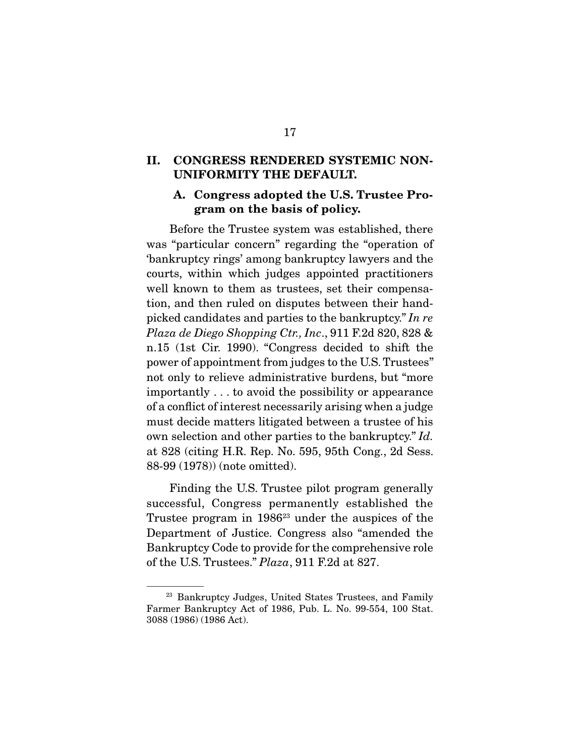#### **II. CONGRESS RENDERED SYSTEMIC NON-UNIFORMITY THE DEFAULT.**

#### **A. Congress adopted the U.S. Trustee Program on the basis of policy.**

 Before the Trustee system was established, there was "particular concern" regarding the "operation of 'bankruptcy rings' among bankruptcy lawyers and the courts, within which judges appointed practitioners well known to them as trustees, set their compensation, and then ruled on disputes between their handpicked candidates and parties to the bankruptcy." *In re Plaza de Diego Shopping Ctr., Inc*., 911 F.2d 820, 828 & n.15 (1st Cir. 1990). "Congress decided to shift the power of appointment from judges to the U.S. Trustees" not only to relieve administrative burdens, but "more importantly . . . to avoid the possibility or appearance of a conflict of interest necessarily arising when a judge must decide matters litigated between a trustee of his own selection and other parties to the bankruptcy." *Id.*  at 828 (citing H.R. Rep. No. 595, 95th Cong., 2d Sess. 88-99 (1978)) (note omitted).

 Finding the U.S. Trustee pilot program generally successful, Congress permanently established the Trustee program in 1986<sup>23</sup> under the auspices of the Department of Justice. Congress also "amended the Bankruptcy Code to provide for the comprehensive role of the U.S. Trustees." *Plaza*, 911 F.2d at 827.

<sup>&</sup>lt;sup>23</sup> Bankruptcy Judges, United States Trustees, and Family Farmer Bankruptcy Act of 1986, Pub. L. No. 99-554, 100 Stat. 3088 (1986) (1986 Act).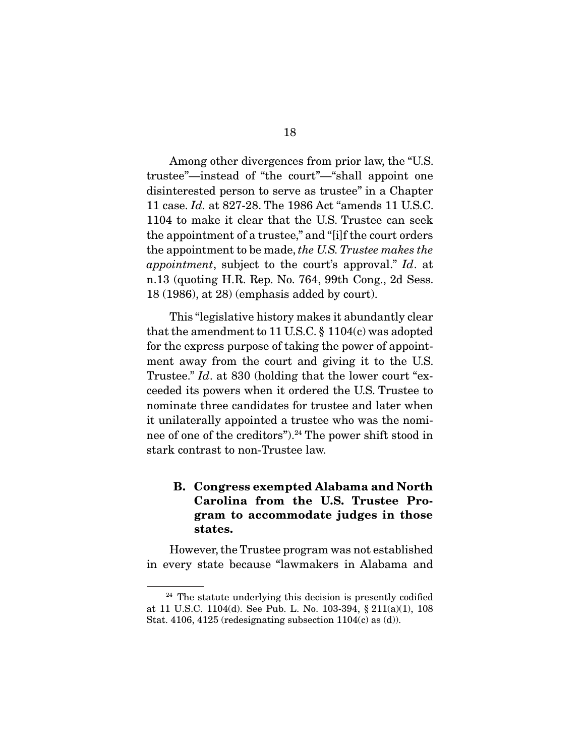Among other divergences from prior law, the "U.S. trustee"—instead of "the court"—"shall appoint one disinterested person to serve as trustee" in a Chapter 11 case. *Id.* at 827-28. The 1986 Act "amends 11 U.S.C. 1104 to make it clear that the U.S. Trustee can seek the appointment of a trustee," and "[i]f the court orders the appointment to be made, *the U.S. Trustee makes the appointment*, subject to the court's approval." *Id*. at n.13 (quoting H.R. Rep. No. 764, 99th Cong., 2d Sess. 18 (1986), at 28) (emphasis added by court).

 This "legislative history makes it abundantly clear that the amendment to 11 U.S.C. § 1104(c) was adopted for the express purpose of taking the power of appointment away from the court and giving it to the U.S. Trustee." *Id*. at 830 (holding that the lower court "exceeded its powers when it ordered the U.S. Trustee to nominate three candidates for trustee and later when it unilaterally appointed a trustee who was the nominee of one of the creditors").24 The power shift stood in stark contrast to non-Trustee law.

### **B. Congress exempted Alabama and North Carolina from the U.S. Trustee Program to accommodate judges in those states.**

 However, the Trustee program was not established in every state because "lawmakers in Alabama and

<sup>&</sup>lt;sup>24</sup> The statute underlying this decision is presently codified at 11 U.S.C. 1104(d). See Pub. L. No. 103-394, § 211(a)(1), 108 Stat. 4106, 4125 (redesignating subsection  $1104(c)$  as (d)).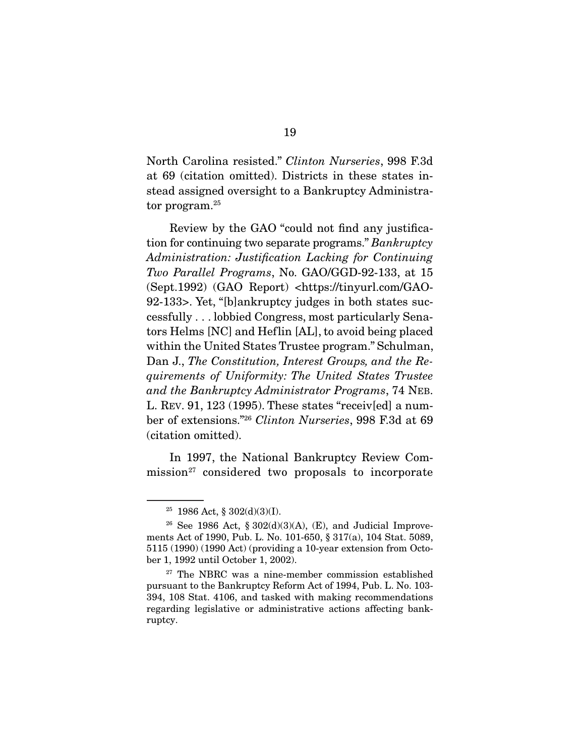North Carolina resisted." *Clinton Nurseries*, 998 F.3d at 69 (citation omitted). Districts in these states instead assigned oversight to a Bankruptcy Administrator program.<sup>25</sup>

 Review by the GAO "could not find any justification for continuing two separate programs." *Bankruptcy Administration: Justification Lacking for Continuing Two Parallel Programs*, No. GAO/GGD-92-133, at 15 (Sept.1992) (GAO Report) <https://tinyurl.com/GAO-92-133>. Yet, "[b]ankruptcy judges in both states successfully . . . lobbied Congress, most particularly Senators Helms [NC] and Heflin [AL], to avoid being placed within the United States Trustee program." Schulman, Dan J., *The Constitution, Interest Groups, and the Requirements of Uniformity: The United States Trustee and the Bankruptcy Administrator Programs*, 74 NEB. L. REV. 91, 123 (1995). These states "receiv[ed] a number of extensions."26 *Clinton Nurseries*, 998 F.3d at 69 (citation omitted).

 In 1997, the National Bankruptcy Review Com $mission<sup>27</sup> considered two proposals to incorporate$ 

<sup>25</sup> 1986 Act, § 302(d)(3)(I).

<sup>&</sup>lt;sup>26</sup> See 1986 Act, § 302(d)(3)(A), (E), and Judicial Improvements Act of 1990, Pub. L. No. 101-650, § 317(a), 104 Stat. 5089, 5115 (1990) (1990 Act) (providing a 10-year extension from October 1, 1992 until October 1, 2002).

<sup>&</sup>lt;sup>27</sup> The NBRC was a nine-member commission established pursuant to the Bankruptcy Reform Act of 1994, Pub. L. No. 103- 394, 108 Stat. 4106, and tasked with making recommendations regarding legislative or administrative actions affecting bankruptcy.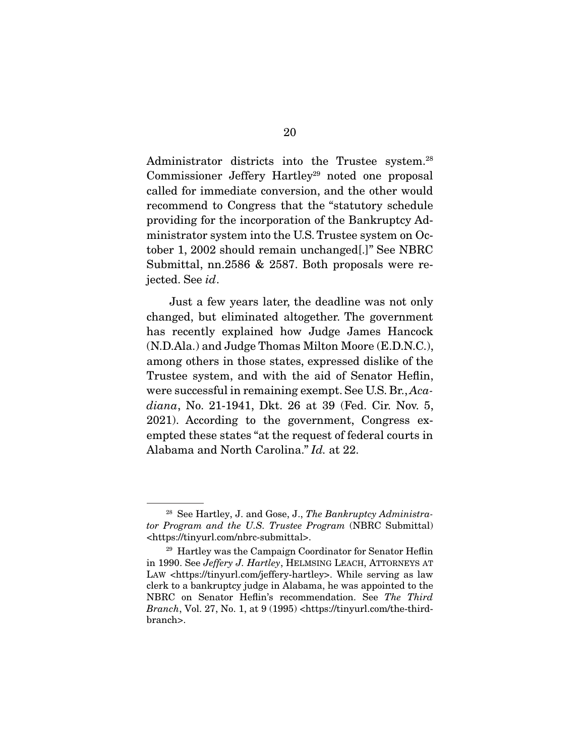Administrator districts into the Trustee system.<sup>28</sup> Commissioner Jeffery Hartley<sup>29</sup> noted one proposal called for immediate conversion, and the other would recommend to Congress that the "statutory schedule providing for the incorporation of the Bankruptcy Administrator system into the U.S. Trustee system on October 1, 2002 should remain unchanged[.]" See NBRC Submittal, nn.2586 & 2587. Both proposals were rejected. See *id*.

 Just a few years later, the deadline was not only changed, but eliminated altogether. The government has recently explained how Judge James Hancock (N.D.Ala.) and Judge Thomas Milton Moore (E.D.N.C.), among others in those states, expressed dislike of the Trustee system, and with the aid of Senator Heflin, were successful in remaining exempt. See U.S. Br., *Acadiana*, No. 21-1941, Dkt. 26 at 39 (Fed. Cir. Nov. 5, 2021). According to the government, Congress exempted these states "at the request of federal courts in Alabama and North Carolina." *Id.* at 22.

<sup>28</sup> See Hartley, J. and Gose, J., *The Bankruptcy Administrator Program and the U.S. Trustee Program* (NBRC Submittal) <https://tinyurl.com/nbrc-submittal>.

<sup>29</sup> Hartley was the Campaign Coordinator for Senator Heflin in 1990. See *Jeffery J. Hartley*, HELMSING LEACH, ATTORNEYS AT LAW <https://tinyurl.com/jeffery-hartley>. While serving as law clerk to a bankruptcy judge in Alabama, he was appointed to the NBRC on Senator Heflin's recommendation. See *The Third Branch*, Vol. 27, No. 1, at 9 (1995) <https://tinyurl.com/the-thirdbranch>.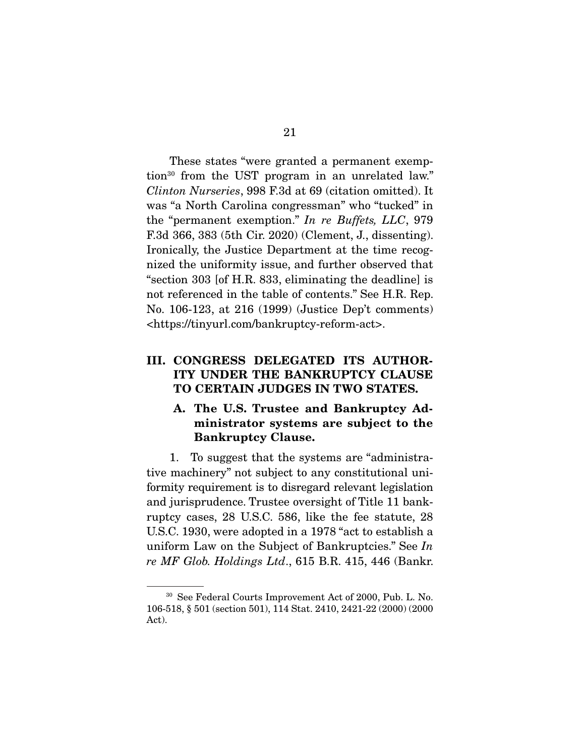These states "were granted a permanent exemption30 from the UST program in an unrelated law." *Clinton Nurseries*, 998 F.3d at 69 (citation omitted). It was "a North Carolina congressman" who "tucked" in the "permanent exemption." *In re Buffets, LLC*, 979 F.3d 366, 383 (5th Cir. 2020) (Clement, J., dissenting). Ironically, the Justice Department at the time recognized the uniformity issue, and further observed that "section 303 [of H.R. 833, eliminating the deadline] is not referenced in the table of contents." See H.R. Rep. No. 106-123, at 216 (1999) (Justice Dep't comments) <https://tinyurl.com/bankruptcy-reform-act>.

### **III. CONGRESS DELEGATED ITS AUTHOR-ITY UNDER THE BANKRUPTCY CLAUSE TO CERTAIN JUDGES IN TWO STATES.**

#### **A. The U.S. Trustee and Bankruptcy Administrator systems are subject to the Bankruptcy Clause.**

 1. To suggest that the systems are "administrative machinery" not subject to any constitutional uniformity requirement is to disregard relevant legislation and jurisprudence. Trustee oversight of Title 11 bankruptcy cases, 28 U.S.C. 586, like the fee statute, 28 U.S.C. 1930, were adopted in a 1978 "act to establish a uniform Law on the Subject of Bankruptcies." See *In re MF Glob. Holdings Ltd*., 615 B.R. 415, 446 (Bankr.

<sup>30</sup> See Federal Courts Improvement Act of 2000, Pub. L. No. 106-518, § 501 (section 501), 114 Stat. 2410, 2421-22 (2000) (2000 Act).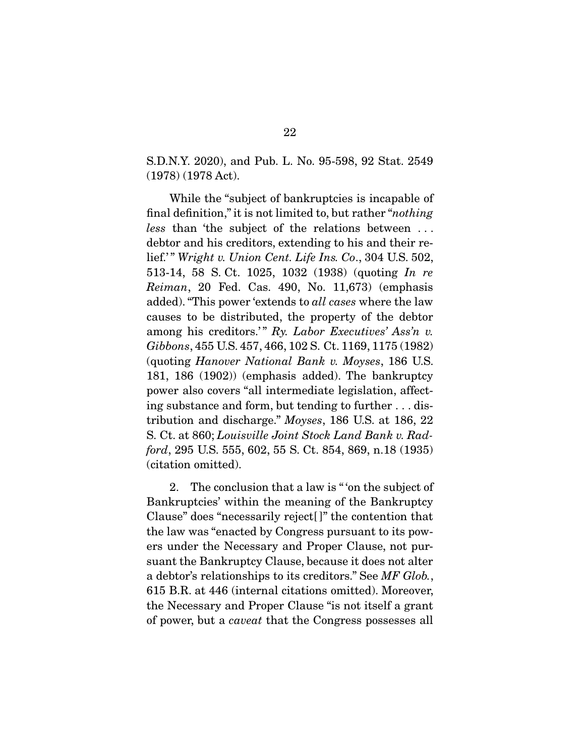S.D.N.Y. 2020), and Pub. L. No. 95-598, 92 Stat. 2549 (1978) (1978 Act).

 While the "subject of bankruptcies is incapable of final definition," it is not limited to, but rather "*nothing less* than 'the subject of the relations between . . . debtor and his creditors, extending to his and their relief.'" *Wright v. Union Cent. Life Ins. Co.*, 304 U.S. 502, 513-14, 58 S. Ct. 1025, 1032 (1938) (quoting *In re Reiman*, 20 Fed. Cas. 490, No. 11,673) (emphasis added). "This power 'extends to *all cases* where the law causes to be distributed, the property of the debtor among his creditors.'" Ry. Labor Executives' Ass'n v. *Gibbons*, 455 U.S. 457, 466, 102 S. Ct. 1169, 1175 (1982) (quoting *Hanover National Bank v. Moyses*, 186 U.S. 181, 186 (1902)) (emphasis added). The bankruptcy power also covers "all intermediate legislation, affecting substance and form, but tending to further . . . distribution and discharge." *Moyses*, 186 U.S. at 186, 22 S. Ct. at 860; *Louisville Joint Stock Land Bank v. Radford*, 295 U.S. 555, 602, 55 S. Ct. 854, 869, n.18 (1935) (citation omitted).

 2. The conclusion that a law is " 'on the subject of Bankruptcies' within the meaning of the Bankruptcy Clause" does "necessarily reject[ ]" the contention that the law was "enacted by Congress pursuant to its powers under the Necessary and Proper Clause, not pursuant the Bankruptcy Clause, because it does not alter a debtor's relationships to its creditors." See *MF Glob.*, 615 B.R. at 446 (internal citations omitted). Moreover, the Necessary and Proper Clause "is not itself a grant of power, but a *caveat* that the Congress possesses all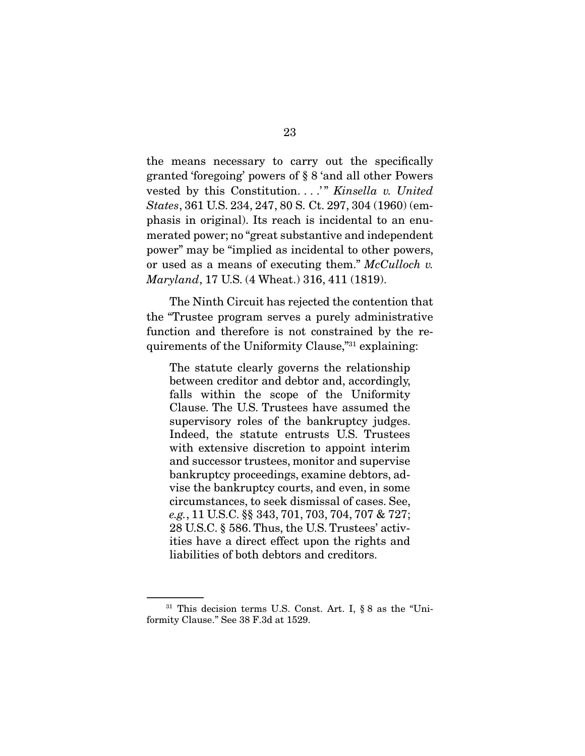the means necessary to carry out the specifically granted 'foregoing' powers of § 8 'and all other Powers vested by this Constitution. . . .<sup>'"</sup> *Kinsella v. United States*, 361 U.S. 234, 247, 80 S. Ct. 297, 304 (1960) (emphasis in original). Its reach is incidental to an enumerated power; no "great substantive and independent power" may be "implied as incidental to other powers, or used as a means of executing them." *McCulloch v. Maryland*, 17 U.S. (4 Wheat.) 316, 411 (1819).

 The Ninth Circuit has rejected the contention that the "Trustee program serves a purely administrative function and therefore is not constrained by the requirements of the Uniformity Clause,"31 explaining:

The statute clearly governs the relationship between creditor and debtor and, accordingly, falls within the scope of the Uniformity Clause. The U.S. Trustees have assumed the supervisory roles of the bankruptcy judges. Indeed, the statute entrusts U.S. Trustees with extensive discretion to appoint interim and successor trustees, monitor and supervise bankruptcy proceedings, examine debtors, advise the bankruptcy courts, and even, in some circumstances, to seek dismissal of cases. See, *e.g.*, 11 U.S.C. §§ 343, 701, 703, 704, 707 & 727; 28 U.S.C. § 586. Thus, the U.S. Trustees' activities have a direct effect upon the rights and liabilities of both debtors and creditors.

<sup>31</sup> This decision terms U.S. Const. Art. I, § 8 as the "Uniformity Clause." See 38 F.3d at 1529.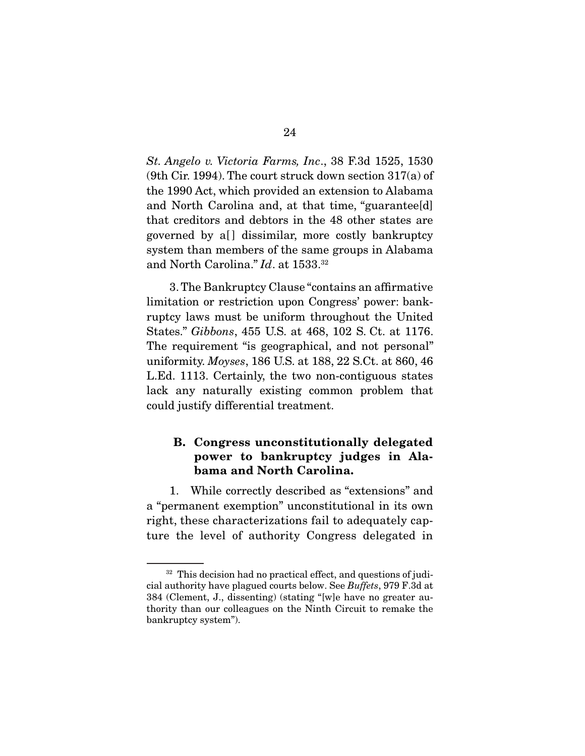*St. Angelo v. Victoria Farms, Inc*., 38 F.3d 1525, 1530 (9th Cir. 1994). The court struck down section 317(a) of the 1990 Act, which provided an extension to Alabama and North Carolina and, at that time, "guarantee[d] that creditors and debtors in the 48 other states are governed by a[] dissimilar, more costly bankruptcy system than members of the same groups in Alabama and North Carolina." *Id*. at 1533.32

 3. The Bankruptcy Clause "contains an affirmative limitation or restriction upon Congress' power: bankruptcy laws must be uniform throughout the United States." *Gibbons*, 455 U.S. at 468, 102 S. Ct. at 1176. The requirement "is geographical, and not personal" uniformity. *Moyses*, 186 U.S. at 188, 22 S.Ct. at 860, 46 L.Ed. 1113. Certainly, the two non-contiguous states lack any naturally existing common problem that could justify differential treatment.

### **B. Congress unconstitutionally delegated power to bankruptcy judges in Alabama and North Carolina.**

 1. While correctly described as "extensions" and a "permanent exemption" unconstitutional in its own right, these characterizations fail to adequately capture the level of authority Congress delegated in

<sup>&</sup>lt;sup>32</sup> This decision had no practical effect, and questions of judicial authority have plagued courts below. See *Buffets*, 979 F.3d at 384 (Clement, J., dissenting) (stating "[w]e have no greater authority than our colleagues on the Ninth Circuit to remake the bankruptcy system").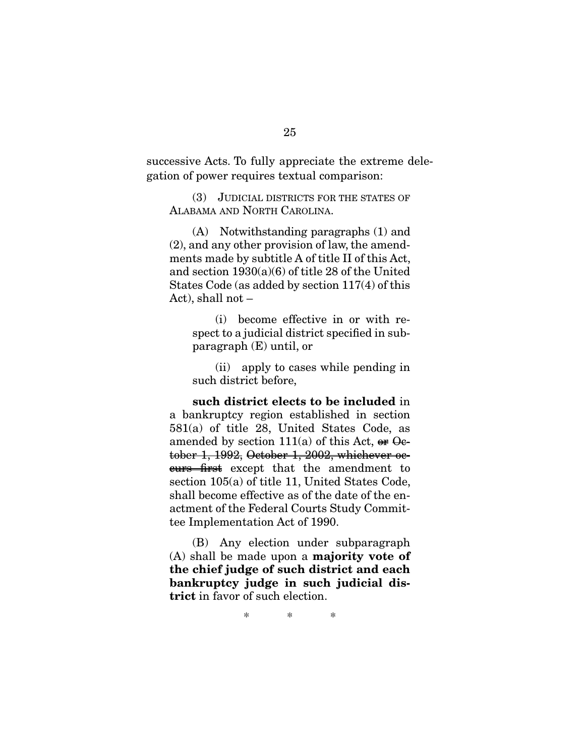successive Acts. To fully appreciate the extreme delegation of power requires textual comparison:

 (3) JUDICIAL DISTRICTS FOR THE STATES OF ALABAMA AND NORTH CAROLINA.

 (A) Notwithstanding paragraphs (1) and (2), and any other provision of law, the amendments made by subtitle A of title II of this Act, and section 1930(a)(6) of title 28 of the United States Code (as added by section 117(4) of this Act), shall not –

 (i) become effective in or with respect to a judicial district specified in subparagraph (E) until, or

 (ii) apply to cases while pending in such district before,

**such district elects to be included** in a bankruptcy region established in section 581(a) of title 28, United States Code, as amended by section  $111(a)$  of this Act, or October 1, 1992, October 1, 2002, whichever oecurs first except that the amendment to section 105(a) of title 11, United States Code, shall become effective as of the date of the enactment of the Federal Courts Study Committee Implementation Act of 1990.

 (B) Any election under subparagraph (A) shall be made upon a **majority vote of the chief judge of such district and each bankruptcy judge in such judicial district** in favor of such election.

\* \* \*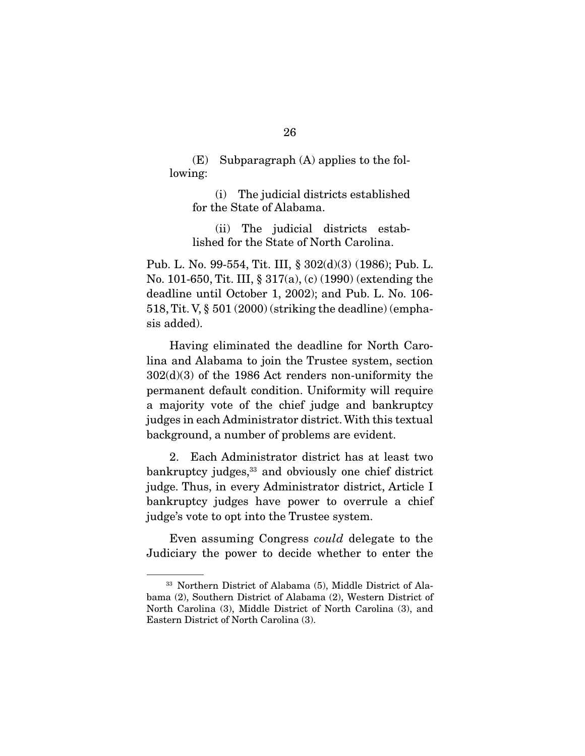(E) Subparagraph (A) applies to the following:

 (i) The judicial districts established for the State of Alabama.

 (ii) The judicial districts established for the State of North Carolina.

Pub. L. No. 99-554, Tit. III, § 302(d)(3) (1986); Pub. L. No. 101-650, Tit. III, § 317(a), (c) (1990) (extending the deadline until October 1, 2002); and Pub. L. No. 106- 518, Tit. V, § 501 (2000) (striking the deadline) (emphasis added).

 Having eliminated the deadline for North Carolina and Alabama to join the Trustee system, section 302(d)(3) of the 1986 Act renders non-uniformity the permanent default condition. Uniformity will require a majority vote of the chief judge and bankruptcy judges in each Administrator district. With this textual background, a number of problems are evident.

 2. Each Administrator district has at least two bankruptcy judges,<sup>33</sup> and obviously one chief district judge. Thus, in every Administrator district, Article I bankruptcy judges have power to overrule a chief judge's vote to opt into the Trustee system.

 Even assuming Congress *could* delegate to the Judiciary the power to decide whether to enter the

<sup>33</sup> Northern District of Alabama (5), Middle District of Alabama (2), Southern District of Alabama (2), Western District of North Carolina (3), Middle District of North Carolina (3), and Eastern District of North Carolina (3).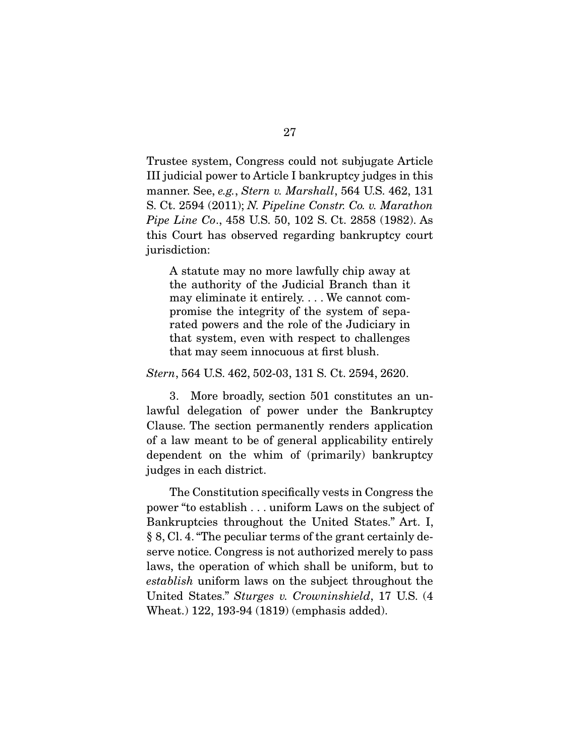Trustee system, Congress could not subjugate Article III judicial power to Article I bankruptcy judges in this manner. See, *e.g.*, *Stern v. Marshall*, 564 U.S. 462, 131 S. Ct. 2594 (2011); *N. Pipeline Constr. Co. v. Marathon Pipe Line Co*., 458 U.S. 50, 102 S. Ct. 2858 (1982). As this Court has observed regarding bankruptcy court jurisdiction:

A statute may no more lawfully chip away at the authority of the Judicial Branch than it may eliminate it entirely. . . . We cannot compromise the integrity of the system of separated powers and the role of the Judiciary in that system, even with respect to challenges that may seem innocuous at first blush.

*Stern*, 564 U.S. 462, 502-03, 131 S. Ct. 2594, 2620.

 3. More broadly, section 501 constitutes an unlawful delegation of power under the Bankruptcy Clause. The section permanently renders application of a law meant to be of general applicability entirely dependent on the whim of (primarily) bankruptcy judges in each district.

 The Constitution specifically vests in Congress the power "to establish . . . uniform Laws on the subject of Bankruptcies throughout the United States." Art. I, § 8, Cl. 4. "The peculiar terms of the grant certainly deserve notice. Congress is not authorized merely to pass laws, the operation of which shall be uniform, but to *establish* uniform laws on the subject throughout the United States." *Sturges v. Crowninshield*, 17 U.S. (4 Wheat.) 122, 193-94 (1819) (emphasis added).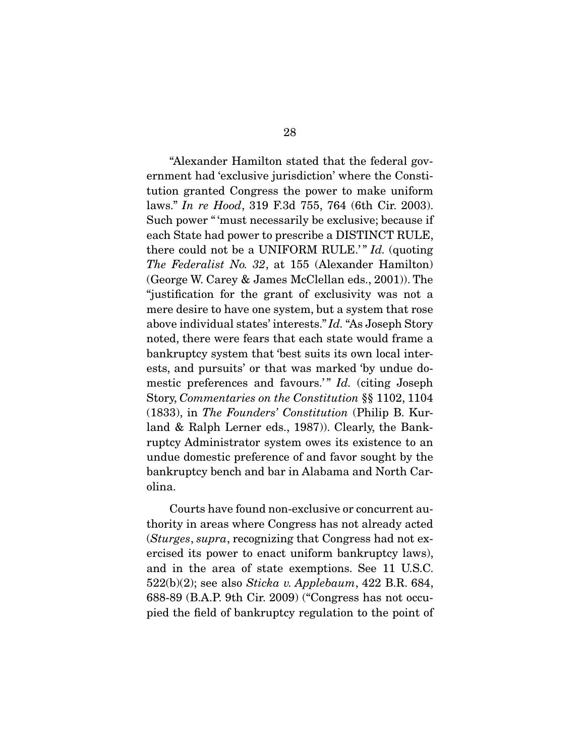"Alexander Hamilton stated that the federal government had 'exclusive jurisdiction' where the Constitution granted Congress the power to make uniform laws." *In re Hood*, 319 F.3d 755, 764 (6th Cir. 2003). Such power " 'must necessarily be exclusive; because if each State had power to prescribe a DISTINCT RULE, there could not be a UNIFORM RULE.'" *Id.* (quoting *The Federalist No. 32*, at 155 (Alexander Hamilton) (George W. Carey & James McClellan eds., 2001)). The "justification for the grant of exclusivity was not a mere desire to have one system, but a system that rose above individual states' interests." *Id.* "As Joseph Story noted, there were fears that each state would frame a bankruptcy system that 'best suits its own local interests, and pursuits' or that was marked 'by undue domestic preferences and favours.'" *Id.* (citing Joseph Story, *Commentaries on the Constitution* §§ 1102, 1104 (1833), in *The Founders' Constitution* (Philip B. Kurland & Ralph Lerner eds., 1987)). Clearly, the Bankruptcy Administrator system owes its existence to an undue domestic preference of and favor sought by the bankruptcy bench and bar in Alabama and North Carolina.

 Courts have found non-exclusive or concurrent authority in areas where Congress has not already acted (*Sturges*, *supra*, recognizing that Congress had not exercised its power to enact uniform bankruptcy laws), and in the area of state exemptions. See 11 U.S.C. 522(b)(2); see also *Sticka v. Applebaum*, 422 B.R. 684, 688-89 (B.A.P. 9th Cir. 2009) ("Congress has not occupied the field of bankruptcy regulation to the point of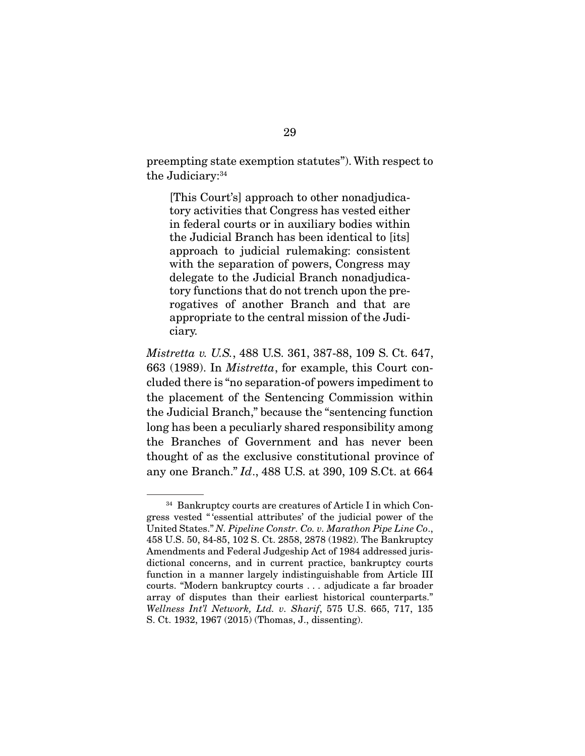preempting state exemption statutes"). With respect to the Judiciary:<sup>34</sup>

[This Court's] approach to other nonadjudicatory activities that Congress has vested either in federal courts or in auxiliary bodies within the Judicial Branch has been identical to [its] approach to judicial rulemaking: consistent with the separation of powers, Congress may delegate to the Judicial Branch nonadjudicatory functions that do not trench upon the prerogatives of another Branch and that are appropriate to the central mission of the Judiciary.

*Mistretta v. U.S.*, 488 U.S. 361, 387-88, 109 S. Ct. 647, 663 (1989). In *Mistretta*, for example, this Court concluded there is "no separation-of powers impediment to the placement of the Sentencing Commission within the Judicial Branch," because the "sentencing function long has been a peculiarly shared responsibility among the Branches of Government and has never been thought of as the exclusive constitutional province of any one Branch." *Id*., 488 U.S. at 390, 109 S.Ct. at 664

<sup>34</sup> Bankruptcy courts are creatures of Article I in which Congress vested " 'essential attributes' of the judicial power of the United States." *N. Pipeline Constr. Co. v. Marathon Pipe Line Co*., 458 U.S. 50, 84-85, 102 S. Ct. 2858, 2878 (1982). The Bankruptcy Amendments and Federal Judgeship Act of 1984 addressed jurisdictional concerns, and in current practice, bankruptcy courts function in a manner largely indistinguishable from Article III courts. "Modern bankruptcy courts . . . adjudicate a far broader array of disputes than their earliest historical counterparts." *Wellness Int'l Network, Ltd. v. Sharif*, 575 U.S. 665, 717, 135 S. Ct. 1932, 1967 (2015) (Thomas, J., dissenting).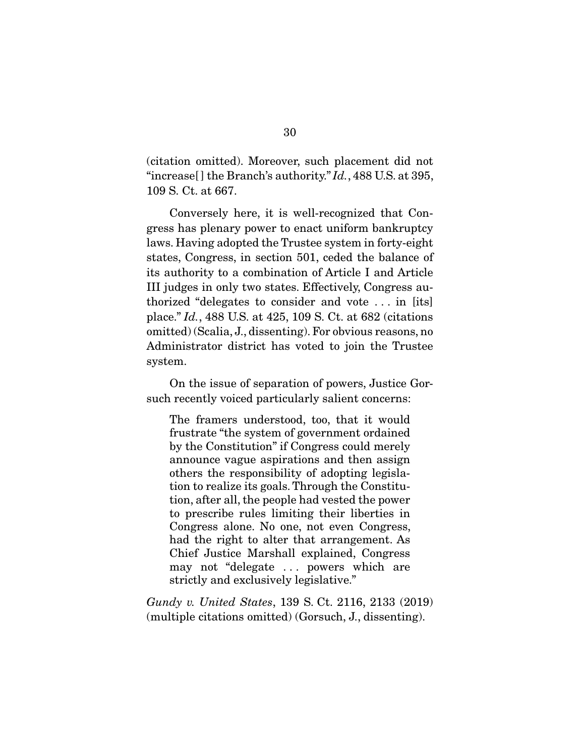(citation omitted). Moreover, such placement did not "increase[ ] the Branch's authority." *Id.*, 488 U.S. at 395, 109 S. Ct. at 667.

 Conversely here, it is well-recognized that Congress has plenary power to enact uniform bankruptcy laws. Having adopted the Trustee system in forty-eight states, Congress, in section 501, ceded the balance of its authority to a combination of Article I and Article III judges in only two states. Effectively, Congress authorized "delegates to consider and vote . . . in [its] place." *Id.*, 488 U.S. at 425, 109 S. Ct. at 682 (citations omitted) (Scalia, J., dissenting). For obvious reasons, no Administrator district has voted to join the Trustee system.

 On the issue of separation of powers, Justice Gorsuch recently voiced particularly salient concerns:

The framers understood, too, that it would frustrate "the system of government ordained by the Constitution" if Congress could merely announce vague aspirations and then assign others the responsibility of adopting legislation to realize its goals. Through the Constitution, after all, the people had vested the power to prescribe rules limiting their liberties in Congress alone. No one, not even Congress, had the right to alter that arrangement. As Chief Justice Marshall explained, Congress may not "delegate . . . powers which are strictly and exclusively legislative."

*Gundy v. United States*, 139 S. Ct. 2116, 2133 (2019) (multiple citations omitted) (Gorsuch, J., dissenting).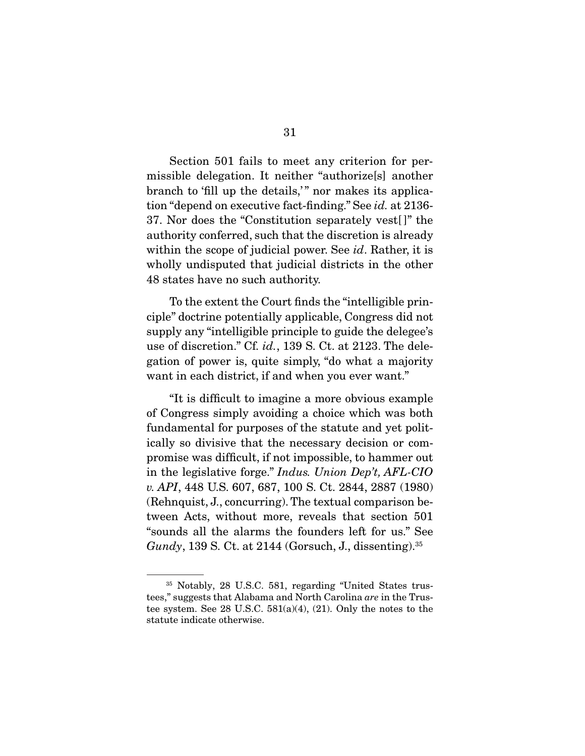Section 501 fails to meet any criterion for permissible delegation. It neither "authorize[s] another branch to 'fill up the details,'" nor makes its application "depend on executive fact-finding." See *id.* at 2136- 37. Nor does the "Constitution separately vest[ ]" the authority conferred, such that the discretion is already within the scope of judicial power. See *id*. Rather, it is wholly undisputed that judicial districts in the other 48 states have no such authority.

 To the extent the Court finds the "intelligible principle" doctrine potentially applicable, Congress did not supply any "intelligible principle to guide the delegee's use of discretion." Cf. *id.*, 139 S. Ct. at 2123. The delegation of power is, quite simply, "do what a majority want in each district, if and when you ever want."

 "It is difficult to imagine a more obvious example of Congress simply avoiding a choice which was both fundamental for purposes of the statute and yet politically so divisive that the necessary decision or compromise was difficult, if not impossible, to hammer out in the legislative forge." *Indus. Union Dep't, AFL-CIO v. API*, 448 U.S. 607, 687, 100 S. Ct. 2844, 2887 (1980) (Rehnquist, J., concurring). The textual comparison between Acts, without more, reveals that section 501 "sounds all the alarms the founders left for us." See *Gundy*, 139 S. Ct. at 2144 (Gorsuch, J., dissenting).<sup>35</sup>

<sup>35</sup> Notably, 28 U.S.C. 581, regarding "United States trustees," suggests that Alabama and North Carolina *are* in the Trustee system. See 28 U.S.C. 581(a)(4), (21). Only the notes to the statute indicate otherwise.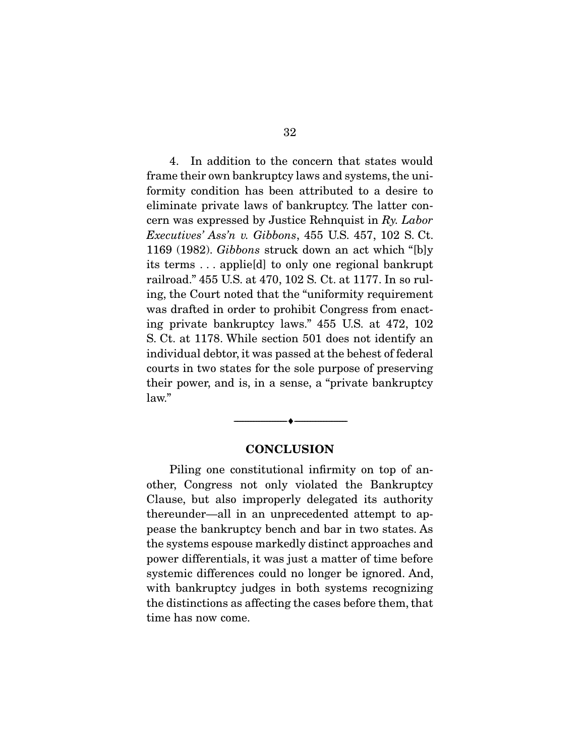4. In addition to the concern that states would frame their own bankruptcy laws and systems, the uniformity condition has been attributed to a desire to eliminate private laws of bankruptcy. The latter concern was expressed by Justice Rehnquist in *Ry. Labor Executives' Ass'n v. Gibbons*, 455 U.S. 457, 102 S. Ct. 1169 (1982). *Gibbons* struck down an act which "[b]y its terms . . . applie[d] to only one regional bankrupt railroad." 455 U.S. at 470, 102 S. Ct. at 1177. In so ruling, the Court noted that the "uniformity requirement was drafted in order to prohibit Congress from enacting private bankruptcy laws." 455 U.S. at 472, 102 S. Ct. at 1178. While section 501 does not identify an individual debtor, it was passed at the behest of federal courts in two states for the sole purpose of preserving their power, and is, in a sense, a "private bankruptcy law."

#### **CONCLUSION**

--------------------------------- ♦ ---------------------------------

 Piling one constitutional infirmity on top of another, Congress not only violated the Bankruptcy Clause, but also improperly delegated its authority thereunder—all in an unprecedented attempt to appease the bankruptcy bench and bar in two states. As the systems espouse markedly distinct approaches and power differentials, it was just a matter of time before systemic differences could no longer be ignored. And, with bankruptcy judges in both systems recognizing the distinctions as affecting the cases before them, that time has now come.